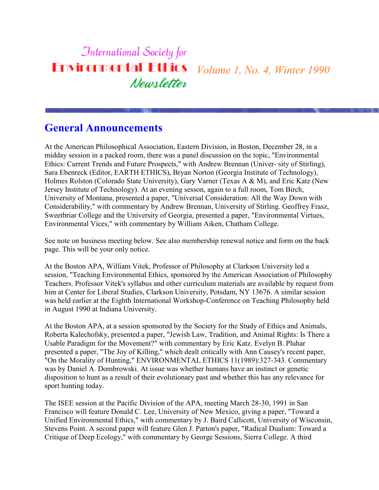### **International Society for Environmental Ethics** *Volume 1, No. 4, Winter 1990* Newsletter

# **General Announcements**

At the American Philosophical Association, Eastern Division, in Boston, December 28, in a midday session in a packed room, there was a panel discussion on the topic, "Environmental Ethics: Current Trends and Future Prospects," with Andrew Brennan (Univer- sity of Stirling), Sara Ebenreck (Editor, EARTH ETHICS), Bryan Norton (Georgia Institute of Technology), Holmes Rolston (Colorado State University), Gary Varner (Texas A & M), and Eric Katz (New Jersey Institute of Technology). At an evening sesson, again to a full room, Tom Birch, University of Montana, presented a paper, "Universal Consideration: All the Way Down with Considerability," with commentary by Andrew Brennan, University of Stirling. Geoffrey Frasz, Sweetbriar College and the University of Georgia, presented a paper, "Environmental Virtues, Environmental Vices," with commentary by William Aiken, Chatham College.

See note on business meeting below. See also membership renewal notice and form on the back page. This will be your only notice.

At the Boston APA, William Vitek, Professor of Philosophy at Clarkson University led a session, "Teaching Environmental Ethics, sponsored by the American Association of Philosophy Teachers. Professor Vitek's syllabus and other curriculum materials are available by request from him at Center for Liberal Studies, Clarkson University, Potsdam, NY 13676. A similar session was held earlier at the Eighth International Workshop-Conference on Teaching Philosophy held in August 1990 at Indiana University.

At the Boston APA, at a session sponsored by the Society for the Study of Ethics and Animals, Roberta Kalechofsky, presented a paper, "Jewish Law, Tradition, and Animal Rights: Is There a Usable Paradigm for the Movement?" with commentary by Eric Katz. Evelyn B. Pluhar presented a paper, "The Joy of Killing," which dealt critically with Ann Causey's recent paper, "On the Morality of Hunting," ENVIRONMENTAL ETHICS 11(1989):327-343. Commentary was by Daniel A. Dombrowski. At issue was whether humans have an instinct or genetic disposition to hunt as a result of their evolutionary past and whether this has any relevance for sport hunting today.

The ISEE session at the Pacific Division of the APA, meeting March 28-30, 1991 in San Francisco will feature Donald C. Lee, University of New Mexico, giving a paper, "Toward a Unified Environmental Ethics," with commentary by J. Baird Callicott, University of Wisconsin, Stevens Point. A second paper will feature Glen J. Parton's paper, "Radical Dualism: Toward a Critique of Deep Ecology," with commentary by George Sessions, Sierra College. A third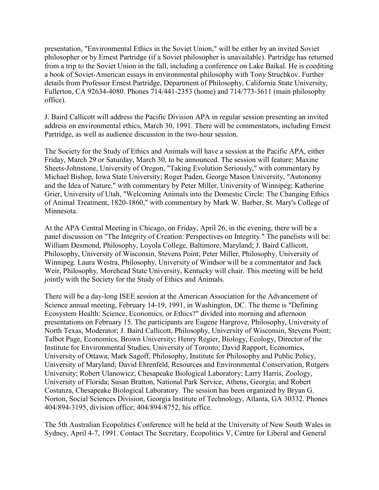presentation, "Environmental Ethics in the Soviet Union," will be either by an invited Soviet philosopher or by Ernest Partridge (if a Soviet philosopher is unavailable). Partridge has returned from a trip to the Soviet Union in the fall, including a conference on Lake Baikal. He is coediting a book of Soviet-American essays in environmental philosophy with Tony Struchkov. Further details from Professor Ernest Partridge, Department of Philosophy, California State University, Fullerton, CA 92634-4080. Phones 714/441-2353 (home) and 714/773-3611 (main philosophy office).

J. Baird Callicott will address the Pacific Division APA in regular session presenting an invited address on environmental ethics, March 30, 1991. There will be commentators, including Ernest Partridge, as well as audience discussion in the two-hour session.

The Society for the Study of Ethics and Animals will have a session at the Pacific APA, either Friday, March 29 or Saturday, March 30, to be announced. The session will feature: Maxine Sheets-Johnstone, University of Oregon, "Taking Evolution Seriously," with commentary by Michael Bishop, Iowa State University; Roger Paden, George Mason University, "Autonomy and the Idea of Nature," with commentary by Peter Miller, University of Winnipeg; Katherine Grier, University of Utah, "Welcoming Animals into the Domestic Circle: The Changing Ethics of Animal Treatment, 1820-1860," with commentary by Mark W. Barber, St. Mary's College of Minnesota.

At the APA Central Meeting in Chicago, on Friday, April 26, in the evening, there will be a panel discussion on "The Integrity of Creation: Perspectives on Integrity." The panelists will be: William Desmond, Philosophy, Loyola College, Baltimore, Maryland; J. Baird Callicott, Philosophy, University of Wisconsin, Stevens Point; Peter Miller, Philosophy, University of Winnipeg. Laura Westra, Philosophy, University of Windsor will be a commentator and Jack Weir, Philosophy, Morehead State University, Kentucky will chair. This meeting will be held jointly with the Society for the Study of Ethics and Animals.

There will be a day-long ISEE session at the American Association for the Advancement of Science annual meeting, February 14-19, 1991, in Washington, DC. The theme is "Defining Ecosystem Health: Science, Economics, or Ethics?" divided into morning and afternoon presentations on February 15. The participants are Eugene Hargrove, Philosophy, University of North Texas, Moderator; J. Baird Callicott, Philosophy, University of Wisconsin, Stevens Point; Talbot Page, Economics, Brown University; Henry Regier, Biology, Ecology, Director of the Institute for Environmental Studies, University of Toronto; David Rapport, Economics, University of Ottawa; Mark Sagoff, Philosophy, Institute for Philosophy and Public Policy, University of Maryland; David Ehrenfeld, Resources and Environmental Conservation, Rutgers University; Robert Ulanowicz, Chesapeake Biological Laboratory; Larry Harris, Zoology, University of Florida; Susan Bratton, National Park Service, Athens, Georgia; and Robert Costanza, Chesapeake Biological Laboratory. The session has been organized by Bryan G. Norton, Social Sciences Division, Georgia Institute of Technology, Atlanta, GA 30332. Phones 404/894-3195, division office; 404/894-8752, his office.

The 5th Australian Ecopolitics Conference will be held at the University of New South Wales in Sydney, April 4-7, 1991. Contact The Secretary, Ecopolitics V, Centre for Liberal and General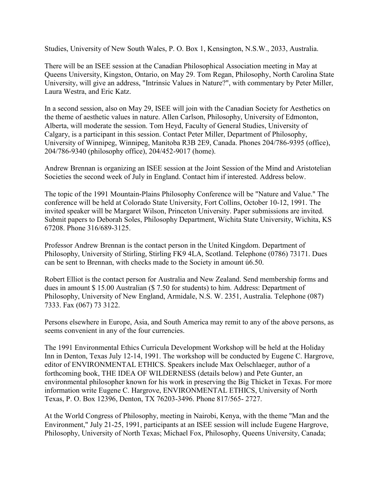Studies, University of New South Wales, P. O. Box 1, Kensington, N.S.W., 2033, Australia.

There will be an ISEE session at the Canadian Philosophical Association meeting in May at Queens University, Kingston, Ontario, on May 29. Tom Regan, Philosophy, North Carolina State University, will give an address, "Intrinsic Values in Nature?", with commentary by Peter Miller, Laura Westra, and Eric Katz.

In a second session, also on May 29, ISEE will join with the Canadian Society for Aesthetics on the theme of aesthetic values in nature. Allen Carlson, Philosophy, University of Edmonton, Alberta, will moderate the session. Tom Heyd, Faculty of General Studies, University of Calgary, is a participant in this session. Contact Peter Miller, Department of Philosophy, University of Winnipeg, Winnipeg, Manitoba R3B 2E9, Canada. Phones 204/786-9395 (office), 204/786-9340 (philosophy office), 204/452-9017 (home).

Andrew Brennan is organizing an ISEE session at the Joint Session of the Mind and Aristotelian Societies the second week of July in England. Contact him if interested. Address below.

The topic of the 1991 Mountain-Plains Philosophy Conference will be "Nature and Value." The conference will be held at Colorado State University, Fort Collins, October 10-12, 1991. The invited speaker will be Margaret Wilson, Princeton University. Paper submissions are invited. Submit papers to Deborah Soles, Philosophy Department, Wichita State University, Wichita, KS 67208. Phone 316/689-3125.

Professor Andrew Brennan is the contact person in the United Kingdom. Department of Philosophy, University of Stirling, Stirling FK9 4LA, Scotland. Telephone (0786) 73171. Dues can be sent to Brennan, with checks made to the Society in amount ú6.50.

Robert Elliot is the contact person for Australia and New Zealand. Send membership forms and dues in amount \$ 15.00 Australian (\$ 7.50 for students) to him. Address: Department of Philosophy, University of New England, Armidale, N.S. W. 2351, Australia. Telephone (087) 7333. Fax (067) 73 3122.

Persons elsewhere in Europe, Asia, and South America may remit to any of the above persons, as seems convenient in any of the four currencies.

The 1991 Environmental Ethics Curricula Development Workshop will be held at the Holiday Inn in Denton, Texas July 12-14, 1991. The workshop will be conducted by Eugene C. Hargrove, editor of ENVIRONMENTAL ETHICS. Speakers include Max Oelschlaeger, author of a forthcoming book, THE IDEA OF WILDERNESS (details below) and Pete Gunter, an environmental philosopher known for his work in preserving the Big Thicket in Texas. For more information write Eugene C. Hargrove, ENVIRONMENTAL ETHICS, University of North Texas, P. O. Box 12396, Denton, TX 76203-3496. Phone 817/565- 2727.

At the World Congress of Philosophy, meeting in Nairobi, Kenya, with the theme "Man and the Environment," July 21-25, 1991, participants at an ISEE session will include Eugene Hargrove, Philosophy, University of North Texas; Michael Fox, Philosophy, Queens University, Canada;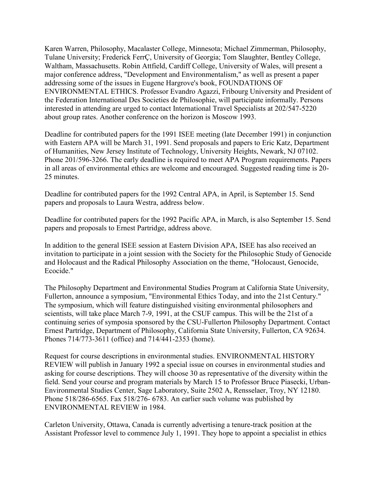Karen Warren, Philosophy, Macalaster College, Minnesota; Michael Zimmerman, Philosophy, Tulane University; Frederick FerrÇ, University of Georgia; Tom Slaughter, Bentley College, Waltham, Massachusetts. Robin Attfield, Cardiff College, University of Wales, will present a major conference address, "Development and Environmentalism," as well as present a paper addressing some of the issues in Eugene Hargrove's book, FOUNDATIONS OF ENVIRONMENTAL ETHICS. Professor Evandro Agazzi, Fribourg University and President of the Federation International Des Societies de Philosophie, will participate informally. Persons interested in attending are urged to contact International Travel Specialists at 202/547-5220 about group rates. Another conference on the horizon is Moscow 1993.

Deadline for contributed papers for the 1991 ISEE meeting (late December 1991) in conjunction with Eastern APA will be March 31, 1991. Send proposals and papers to Eric Katz, Department of Humanities, New Jersey Institute of Technology, University Heights, Newark, NJ 07102. Phone 201/596-3266. The early deadline is required to meet APA Program requirements. Papers in all areas of environmental ethics are welcome and encouraged. Suggested reading time is 20- 25 minutes.

Deadline for contributed papers for the 1992 Central APA, in April, is September 15. Send papers and proposals to Laura Westra, address below.

Deadline for contributed papers for the 1992 Pacific APA, in March, is also September 15. Send papers and proposals to Ernest Partridge, address above.

In addition to the general ISEE session at Eastern Division APA, ISEE has also received an invitation to participate in a joint session with the Society for the Philosophic Study of Genocide and Holocaust and the Radical Philosophy Association on the theme, "Holocaust, Genocide, Ecocide."

The Philosophy Department and Environmental Studies Program at California State University, Fullerton, announce a symposium, "Environmental Ethics Today, and into the 21st Century." The symposium, which will feature distinguished visiting environmental philosophers and scientists, will take place March 7-9, 1991, at the CSUF campus. This will be the 21st of a continuing series of symposia sponsored by the CSU-Fullerton Philosophy Department. Contact Ernest Partridge, Department of Philosophy, California State University, Fullerton, CA 92634. Phones 714/773-3611 (office) and 714/441-2353 (home).

Request for course descriptions in environmental studies. ENVIRONMENTAL HISTORY REVIEW will publish in January 1992 a special issue on courses in environmental studies and asking for course descriptions. They will choose 30 as representative of the diversity within the field. Send your course and program materials by March 15 to Professor Bruce Piasecki, Urban-Environmental Studies Center, Sage Laboratory, Suite 2502 A, Rensselaer, Troy, NY 12180. Phone 518/286-6565. Fax 518/276- 6783. An earlier such volume was published by ENVIRONMENTAL REVIEW in 1984.

Carleton University, Ottawa, Canada is currently advertising a tenure-track position at the Assistant Professor level to commence July 1, 1991. They hope to appoint a specialist in ethics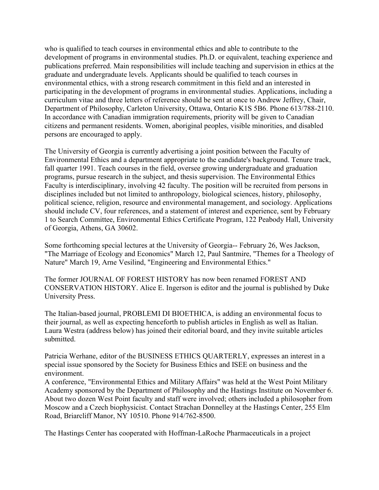who is qualified to teach courses in environmental ethics and able to contribute to the development of programs in environmental studies. Ph.D. or equivalent, teaching experience and publications preferred. Main responsibilities will include teaching and supervision in ethics at the graduate and undergraduate levels. Applicants should be qualified to teach courses in environmental ethics, with a strong research commitment in this field and an interested in participating in the development of programs in environmental studies. Applications, including a curriculum vitae and three letters of reference should be sent at once to Andrew Jeffrey, Chair, Department of Philosophy, Carleton University, Ottawa, Ontario K1S 5B6. Phone 613/788-2110. In accordance with Canadian immigration requirements, priority will be given to Canadian citizens and permanent residents. Women, aboriginal peoples, visible minorities, and disabled persons are encouraged to apply.

The University of Georgia is currently advertising a joint position between the Faculty of Environmental Ethics and a department appropriate to the candidate's background. Tenure track, fall quarter 1991. Teach courses in the field, oversee growing undergraduate and graduation programs, pursue research in the subject, and thesis supervision. The Environmental Ethics Faculty is interdisciplinary, involving 42 faculty. The position will be recruited from persons in disciplines included but not limited to anthropology, biological sciences, history, philosophy, political science, religion, resource and environmental management, and sociology. Applications should include CV, four references, and a statement of interest and experience, sent by February 1 to Search Committee, Environmental Ethics Certificate Program, 122 Peabody Hall, University of Georgia, Athens, GA 30602.

Some forthcoming special lectures at the University of Georgia-- February 26, Wes Jackson, "The Marriage of Ecology and Economics" March 12, Paul Santmire, "Themes for a Theology of Nature" March 19, Arne Vesilind, "Engineering and Environmental Ethics."

The former JOURNAL OF FOREST HISTORY has now been renamed FOREST AND CONSERVATION HISTORY. Alice E. Ingerson is editor and the journal is published by Duke University Press.

The Italian-based journal, PROBLEMI DI BIOETHICA, is adding an environmental focus to their journal, as well as expecting henceforth to publish articles in English as well as Italian. Laura Westra (address below) has joined their editorial board, and they invite suitable articles submitted.

Patricia Werhane, editor of the BUSINESS ETHICS QUARTERLY, expresses an interest in a special issue sponsored by the Society for Business Ethics and ISEE on business and the environment.

A conference, "Environmental Ethics and Military Affairs" was held at the West Point Military Academy sponsored by the Department of Philosophy and the Hastings Institute on November 6. About two dozen West Point faculty and staff were involved; others included a philosopher from Moscow and a Czech biophysicist. Contact Strachan Donnelley at the Hastings Center, 255 Elm Road, Briarcliff Manor, NY 10510. Phone 914/762-8500.

The Hastings Center has cooperated with Hoffman-LaRoche Pharmaceuticals in a project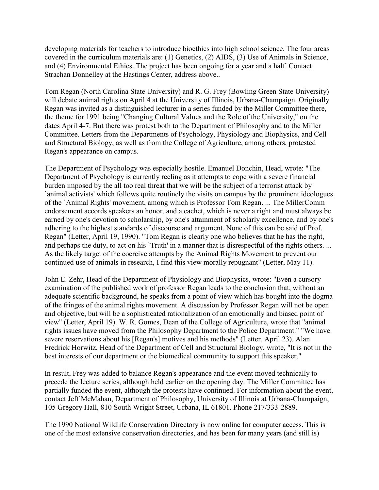developing materials for teachers to introduce bioethics into high school science. The four areas covered in the curriculum materials are: (1) Genetics, (2) AIDS, (3) Use of Animals in Science, and (4) Environmental Ethics. The project has been ongoing for a year and a half. Contact Strachan Donnelley at the Hastings Center, address above..

Tom Regan (North Carolina State University) and R. G. Frey (Bowling Green State University) will debate animal rights on April 4 at the University of Illinois, Urbana-Champaign. Originally Regan was invited as a distinguished lecturer in a series funded by the Miller Committee there, the theme for 1991 being "Changing Cultural Values and the Role of the University," on the dates April 4-7. But there was protest both to the Department of Philosophy and to the Miller Committee. Letters from the Departments of Psychology, Physiology and Biophysics, and Cell and Structural Biology, as well as from the College of Agriculture, among others, protested Regan's appearance on campus.

The Department of Psychology was especially hostile. Emanuel Donchin, Head, wrote: "The Department of Psychology is currently reeling as it attempts to cope with a severe financial burden imposed by the all too real threat that we will be the subject of a terrorist attack by `animal activists' which follows quite routinely the visits on campus by the prominent ideologues of the `Animal Rights' movement, among which is Professor Tom Regan. ... The MillerComm endorsement accords speakers an honor, and a cachet, which is never a right and must always be earned by one's devotion to scholarship, by one's attainment of scholarly excellence, and by one's adhering to the highest standards of discourse and argument. None of this can be said of Prof. Regan" (Letter, April 19, 1990). "Tom Regan is clearly one who believes that he has the right, and perhaps the duty, to act on his 'Truth' in a manner that is disrespectful of the rights others... As the likely target of the coercive attempts by the Animal Rights Movement to prevent our continued use of animals in research, I find this view morally repugnant" (Letter, May 11).

John E. Zehr, Head of the Department of Physiology and Biophysics, wrote: "Even a cursory examination of the published work of professor Regan leads to the conclusion that, without an adequate scientific background, he speaks from a point of view which has bought into the dogma of the fringes of the animal rights movement. A discussion by Professor Regan will not be open and objective, but will be a sophisticated rationalization of an emotionally and biased point of view" (Letter, April 19). W. R. Gomes, Dean of the College of Agriculture, wrote that "animal rights issues have moved from the Philosophy Department to the Police Department." "We have severe reservations about his [Regan's] motives and his methods" (Letter, April 23). Alan Fredrick Horwitz, Head of the Department of Cell and Structural Biology, wrote, "It is not in the best interests of our department or the biomedical community to support this speaker."

In result, Frey was added to balance Regan's appearance and the event moved technically to precede the lecture series, although held earlier on the opening day. The Miller Committee has partially funded the event, although the protests have continued. For information about the event, contact Jeff McMahan, Department of Philosophy, University of Illinois at Urbana-Champaign, 105 Gregory Hall, 810 South Wright Street, Urbana, IL 61801. Phone 217/333-2889.

The 1990 National Wildlife Conservation Directory is now online for computer access. This is one of the most extensive conservation directories, and has been for many years (and still is)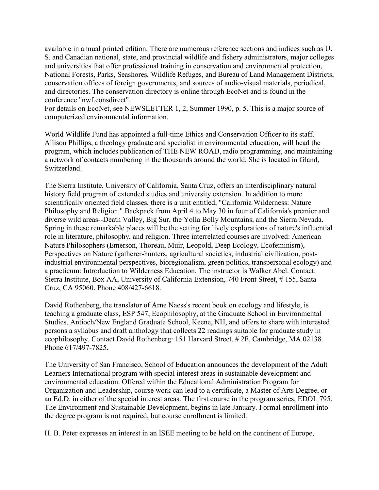available in annual printed edition. There are numerous reference sections and indices such as U. S. and Canadian national, state, and provincial wildlife and fishery administrators, major colleges and universities that offer professional training in conservation and environmental protection, National Forests, Parks, Seashores, Wildlife Refuges, and Bureau of Land Management Districts, conservation offices of foreign governments, and sources of audio-visual materials, periodical, and directories. The conservation directory is online through EcoNet and is found in the conference "nwf.consdirect".

For details on EcoNet, see NEWSLETTER 1, 2, Summer 1990, p. 5. This is a major source of computerized environmental information.

World Wildlife Fund has appointed a full-time Ethics and Conservation Officer to its staff. Allison Phillips, a theology graduate and specialist in environmental education, will head the program, which includes publication of THE NEW ROAD, radio programming, and maintaining a network of contacts numbering in the thousands around the world. She is located in Gland, Switzerland.

The Sierra Institute, University of California, Santa Cruz, offers an interdisciplinary natural history field program of extended studies and university extension. In addition to more scientifically oriented field classes, there is a unit entitled, "California Wilderness: Nature Philosophy and Religion." Backpack from April 4 to May 30 in four of California's premier and diverse wild areas--Death Valley, Big Sur, the Yolla Bolly Mountains, and the Sierra Nevada. Spring in these remarkable places will be the setting for lively explorations of nature's influential role in literature, philosophy, and religion. Three interrelated courses are involved: American Nature Philosophers (Emerson, Thoreau, Muir, Leopold, Deep Ecology, Ecofeminism), Perspectives on Nature (gatherer-hunters, agricultural societies, industrial civilization, postindustrial environmental perspectives, bioregionalism, green politics, transpersonal ecology) and a practicum: Introduction to Wilderness Education. The instructor is Walker Abel. Contact: Sierra Institute, Box AA, University of California Extension, 740 Front Street, # 155, Santa Cruz, CA 95060. Phone 408/427-6618.

David Rothenberg, the translator of Arne Naess's recent book on ecology and lifestyle, is teaching a graduate class, ESP 547, Ecophilosophy, at the Graduate School in Environmental Studies, Antioch/New England Graduate School, Keene, NH, and offers to share with interested persons a syllabus and draft anthology that collects 22 readings suitable for graduate study in ecophilosophy. Contact David Rothenberg: 151 Harvard Street, # 2F, Cambridge, MA 02138. Phone 617/497-7825.

The University of San Francisco, School of Education announces the development of the Adult Learners International program with special interest areas in sustainable development and environmental education. Offered within the Educational Administration Program for Organization and Leadership, course work can lead to a certificate, a Master of Arts Degree, or an Ed.D. in either of the special interest areas. The first course in the program series, EDOL 795, The Environment and Sustainable Development, begins in late January. Formal enrollment into the degree program is not required, but course enrollment is limited.

H. B. Peter expresses an interest in an ISEE meeting to be held on the continent of Europe,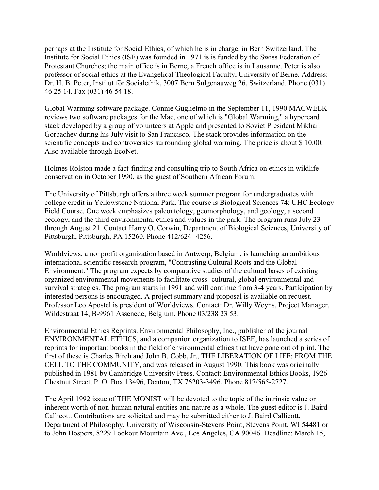perhaps at the Institute for Social Ethics, of which he is in charge, in Bern Switzerland. The Institute for Social Ethics (ISE) was founded in 1971 is is funded by the Swiss Federation of Protestant Churches; the main office is in Berne, a French office is in Lausanne. Peter is also professor of social ethics at the Evangelical Theological Faculty, University of Berne. Address: Dr. H. B. Peter, Institut för Socialethik, 3007 Bern Sulgenauweg 26, Switzerland. Phone (031) 46 25 14. Fax (031) 46 54 18.

Global Warming software package. Connie Guglielmo in the September 11, 1990 MACWEEK reviews two software packages for the Mac, one of which is "Global Warming," a hypercard stack developed by a group of volunteers at Apple and presented to Soviet President Mikhail Gorbachev during his July visit to San Francisco. The stack provides information on the scientific concepts and controversies surrounding global warming. The price is about \$ 10.00. Also available through EcoNet.

Holmes Rolston made a fact-finding and consulting trip to South Africa on ethics in wildlife conservation in October 1990, as the guest of Southern African Forum.

The University of Pittsburgh offers a three week summer program for undergraduates with college credit in Yellowstone National Park. The course is Biological Sciences 74: UHC Ecology Field Course. One week emphasizes paleontology, geomorphology, and geology, a second ecology, and the third environmental ethics and values in the park. The program runs July 23 through August 21. Contact Harry O. Corwin, Department of Biological Sciences, University of Pittsburgh, Pittsburgh, PA 15260. Phone 412/624- 4256.

Worldviews, a nonprofit organization based in Antwerp, Belgium, is launching an ambitious international scientific research program, "Contrasting Cultural Roots and the Global Environment." The program expects by comparative studies of the cultural bases of existing organized environmental movements to facilitate cross- cultural, global environmental and survival strategies. The program starts in 1991 and will continue from 3-4 years. Participation by interested persons is encouraged. A project summary and proposal is available on request. Professor Leo Apostel is president of Worldviews. Contact: Dr. Willy Weyns, Project Manager, Wildestraat 14, B-9961 Assenede, Belgium. Phone 03/238 23 53.

Environmental Ethics Reprints. Environmental Philosophy, Inc., publisher of the journal ENVIRONMENTAL ETHICS, and a companion organization to ISEE, has launched a series of reprints for important books in the field of environmental ethics that have gone out of print. The first of these is Charles Birch and John B. Cobb, Jr., THE LIBERATION OF LIFE: FROM THE CELL TO THE COMMUNITY, and was released in August 1990. This book was originally published in 1981 by Cambridge University Press. Contact: Environmental Ethics Books, 1926 Chestnut Street, P. O. Box 13496, Denton, TX 76203-3496. Phone 817/565-2727.

The April 1992 issue of THE MONIST will be devoted to the topic of the intrinsic value or inherent worth of non-human natural entities and nature as a whole. The guest editor is J. Baird Callicott. Contributions are solicited and may be submitted either to J. Baird Callicott, Department of Philosophy, University of Wisconsin-Stevens Point, Stevens Point, WI 54481 or to John Hospers, 8229 Lookout Mountain Ave., Los Angeles, CA 90046. Deadline: March 15,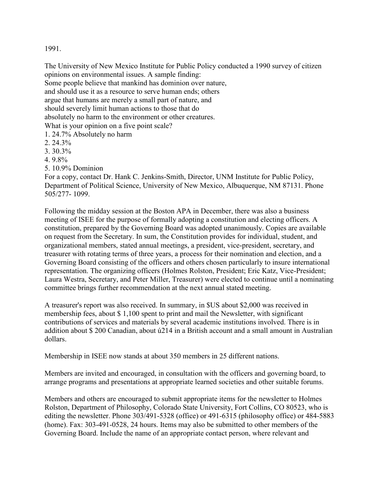1991.

The University of New Mexico Institute for Public Policy conducted a 1990 survey of citizen opinions on environmental issues. A sample finding: Some people believe that mankind has dominion over nature,

and should use it as a resource to serve human ends; others

argue that humans are merely a small part of nature, and

should severely limit human actions to those that do

absolutely no harm to the environment or other creatures.

What is your opinion on a five point scale?

- 1. 24.7% Absolutely no harm
- 2. 24.3%
- 3. 30.3%
- 4. 9.8%
- 5. 10.9% Dominion

For a copy, contact Dr. Hank C. Jenkins-Smith, Director, UNM Institute for Public Policy, Department of Political Science, University of New Mexico, Albuquerque, NM 87131. Phone 505/277- 1099.

Following the midday session at the Boston APA in December, there was also a business meeting of ISEE for the purpose of formally adopting a constitution and electing officers. A constitution, prepared by the Governing Board was adopted unanimously. Copies are available on request from the Secretary. In sum, the Constitution provides for individual, student, and organizational members, stated annual meetings, a president, vice-president, secretary, and treasurer with rotating terms of three years, a process for their nomination and election, and a Governing Board consisting of the officers and others chosen particularly to insure international representation. The organizing officers (Holmes Rolston, President; Eric Katz, Vice-President; Laura Westra, Secretary, and Peter Miller, Treasurer) were elected to continue until a nominating committee brings further recommendation at the next annual stated meeting.

A treasurer's report was also received. In summary, in \$US about \$2,000 was received in membership fees, about \$ 1,100 spent to print and mail the Newsletter, with significant contributions of services and materials by several academic institutions involved. There is in addition about \$ 200 Canadian, about ú214 in a British account and a small amount in Australian dollars.

Membership in ISEE now stands at about 350 members in 25 different nations.

Members are invited and encouraged, in consultation with the officers and governing board, to arrange programs and presentations at appropriate learned societies and other suitable forums.

Members and others are encouraged to submit appropriate items for the newsletter to Holmes Rolston, Department of Philosophy, Colorado State University, Fort Collins, CO 80523, who is editing the newsletter. Phone 303/491-5328 (office) or 491-6315 (philosophy office) or 484-5883 (home). Fax: 303-491-0528, 24 hours. Items may also be submitted to other members of the Governing Board. Include the name of an appropriate contact person, where relevant and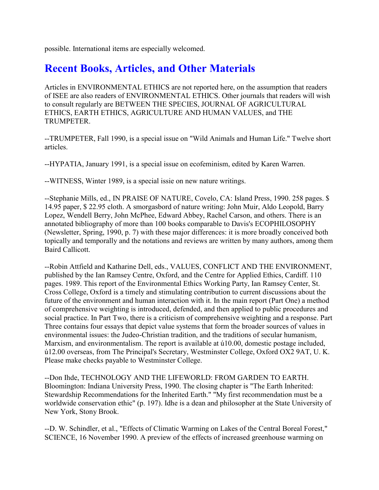possible. International items are especially welcomed.

# **Recent Books, Articles, and Other Materials**

Articles in ENVIRONMENTAL ETHICS are not reported here, on the assumption that readers of ISEE are also readers of ENVIRONMENTAL ETHICS. Other journals that readers will wish to consult regularly are BETWEEN THE SPECIES, JOURNAL OF AGRICULTURAL ETHICS, EARTH ETHICS, AGRICULTURE AND HUMAN VALUES, and THE TRUMPETER.

--TRUMPETER, Fall 1990, is a special issue on "Wild Animals and Human Life." Twelve short articles.

--HYPATIA, January 1991, is a special issue on ecofeminism, edited by Karen Warren.

--WITNESS, Winter 1989, is a special issie on new nature writings.

--Stephanie Mills, ed., IN PRAISE OF NATURE, Covelo, CA: Island Press, 1990. 258 pages. \$ 14.95 paper, \$ 22.95 cloth. A smorgasbord of nature writing: John Muir, Aldo Leopold, Barry Lopez, Wendell Berry, John McPhee, Edward Abbey, Rachel Carson, and others. There is an annotated bibliography of more than 100 books comparable to Davis's ECOPHILOSOPHY (Newsletter, Spring, 1990, p. 7) with these major differences: it is more broadly conceived both topically and temporally and the notations and reviews are written by many authors, among them Baird Callicott.

--Robin Attfield and Katharine Dell, eds., VALUES, CONFLICT AND THE ENVIRONMENT, published by the Ian Ramsey Centre, Oxford, and the Centre for Applied Ethics, Cardiff. 110 pages. 1989. This report of the Environmental Ethics Working Party, Ian Ramsey Center, St. Cross College, Oxford is a timely and stimulating contribution to current discussions about the future of the environment and human interaction with it. In the main report (Part One) a method of comprehensive weighting is introduced, defended, and then applied to public procedures and social practice. In Part Two, there is a criticism of comprehensive weighting and a response. Part Three contains four essays that depict value systems that form the broader sources of values in environmental issues: the Judeo-Christian tradition, and the traditions of secular humanism, Marxism, and environmentalism. The report is available at ú10.00, domestic postage included, ú12.00 overseas, from The Principal's Secretary, Westminster College, Oxford OX2 9AT, U. K. Please make checks payable to Westminster College.

--Don Ihde, TECHNOLOGY AND THE LIFEWORLD: FROM GARDEN TO EARTH. Bloomington: Indiana University Press, 1990. The closing chapter is "The Earth Inherited: Stewardship Recommendations for the Inherited Earth." "My first recommendation must be a worldwide conservation ethic" (p. 197). Idhe is a dean and philosopher at the State University of New York, Stony Brook.

--D. W. Schindler, et al., "Effects of Climatic Warming on Lakes of the Central Boreal Forest," SCIENCE, 16 November 1990. A preview of the effects of increased greenhouse warming on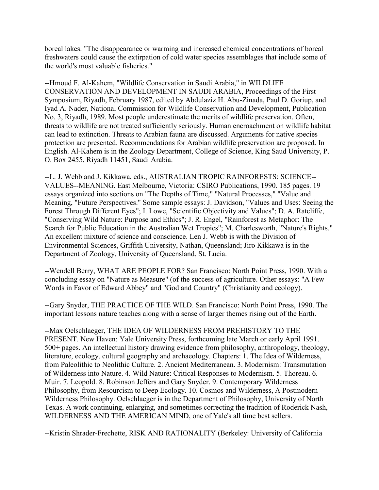boreal lakes. "The disappearance or warming and increased chemical concentrations of boreal freshwaters could cause the extirpation of cold water species assemblages that include some of the world's most valuable fisheries."

--Hmoud F. Al-Kahem, "Wildlife Conservation in Saudi Arabia," in WILDLIFE CONSERVATION AND DEVELOPMENT IN SAUDI ARABIA, Proceedings of the First Symposium, Riyadh, February 1987, edited by Abdulaziz H. Abu-Zinada, Paul D. Goriup, and Iyad A. Nader, National Commission for Wildlife Conservation and Development, Publication No. 3, Riyadh, 1989. Most people underestimate the merits of wildlife preservation. Often, threats to wildlife are not treated sufficiently seriously. Human encroachment on wildlife habitat can lead to extinction. Threats to Arabian fauna are discussed. Arguments for native species protection are presented. Recommendations for Arabian wildlife preservation are proposed. In English. Al-Kahem is in the Zoology Department, College of Science, King Saud University, P. O. Box 2455, Riyadh 11451, Saudi Arabia.

--L. J. Webb and J. Kikkawa, eds., AUSTRALIAN TROPIC RAINFORESTS: SCIENCE-- VALUES--MEANING. East Melbourne, Victoria: CSIRO Publications, 1990. 185 pages. 19 essays organized into sections on "The Depths of Time," "Natural Processes," "Value and Meaning, "Future Perspectives." Some sample essays: J. Davidson, "Values and Uses: Seeing the Forest Through Different Eyes"; I. Lowe, "Scientific Objectivity and Values"; D. A. Ratcliffe, "Conserving Wild Nature: Purpose and Ethics"; J. R. Engel, "Rainforest as Metaphor: The Search for Public Education in the Australian Wet Tropics"; M. Charlesworth, "Nature's Rights." An excellent mixture of science and conscience. Len J. Webb is with the Division of Environmental Sciences, Griffith University, Nathan, Queensland; Jiro Kikkawa is in the Department of Zoology, University of Queensland, St. Lucia.

--Wendell Berry, WHAT ARE PEOPLE FOR? San Francisco: North Point Press, 1990. With a concluding essay on "Nature as Measure" (of the success of agriculture. Other essays: "A Few Words in Favor of Edward Abbey" and "God and Country" (Christianity and ecology).

--Gary Snyder, THE PRACTICE OF THE WILD. San Francisco: North Point Press, 1990. The important lessons nature teaches along with a sense of larger themes rising out of the Earth.

--Max Oelschlaeger, THE IDEA OF WILDERNESS FROM PREHISTORY TO THE PRESENT. New Haven: Yale University Press, forthcoming late March or early April 1991. 500+ pages. An intellectual history drawing evidence from philosophy, anthropology, theology, literature, ecology, cultural geography and archaeology. Chapters: 1. The Idea of Wilderness, from Paleolithic to Neolithic Culture. 2. Ancient Mediterranean. 3. Modernism: Transmutation of Wilderness into Nature. 4. Wild Nature: Critical Responses to Modernism. 5. Thoreau. 6. Muir. 7. Leopold. 8. Robinson Jeffers and Gary Snyder. 9. Contemporary Wilderness Philosophy, from Resourcism to Deep Ecology. 10. Cosmos and Wilderness, A Postmodern Wilderness Philosophy. Oelschlaeger is in the Department of Philosophy, University of North Texas. A work continuing, enlarging, and sometimes correcting the tradition of Roderick Nash, WILDERNESS AND THE AMERICAN MIND, one of Yale's all time best sellers.

--Kristin Shrader-Frechette, RISK AND RATIONALITY (Berkeley: University of California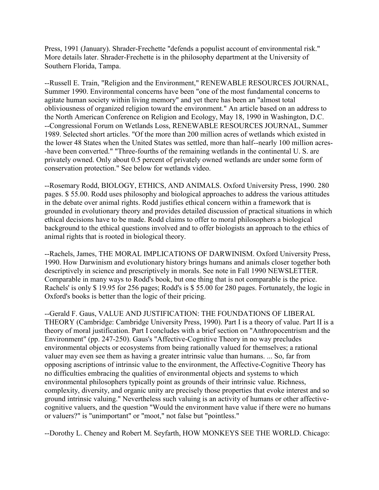Press, 1991 (January). Shrader-Frechette "defends a populist account of environmental risk." More details later. Shrader-Frechette is in the philosophy department at the University of Southern Florida, Tampa.

--Russell E. Train, "Religion and the Environment," RENEWABLE RESOURCES JOURNAL, Summer 1990. Environmental concerns have been "one of the most fundamental concerns to agitate human society within living memory" and yet there has been an "almost total obliviousness of organized religion toward the environment." An article based on an address to the North American Conference on Religion and Ecology, May 18, 1990 in Washington, D.C. --Congressional Forum on Wetlands Loss, RENEWABLE RESOURCES JOURNAL, Summer 1989. Selected short articles. "Of the more than 200 million acres of wetlands which existed in the lower 48 States when the United States was settled, more than half--nearly 100 million acres- -have been converted." "Three-fourths of the remaining wetlands in the continental U. S. are privately owned. Only about 0.5 percent of privately owned wetlands are under some form of conservation protection." See below for wetlands video.

--Rosemary Rodd, BIOLOGY, ETHICS, AND ANIMALS. Oxford University Press, 1990. 280 pages. \$ 55.00. Rodd uses philosophy and biological approaches to address the various attitudes in the debate over animal rights. Rodd justifies ethical concern within a framework that is grounded in evolutionary theory and provides detailed discussion of practical situations in which ethical decisions have to be made. Rodd claims to offer to moral philosophers a biological background to the ethical questions involved and to offer biologists an approach to the ethics of animal rights that is rooted in biological theory.

--Rachels, James, THE MORAL IMPLICATIONS OF DARWINISM. Oxford University Press, 1990. How Darwinism and evolutionary history brings humans and animals closer together both descriptively in science and prescriptively in morals. See note in Fall 1990 NEWSLETTER. Comparable in many ways to Rodd's book, but one thing that is not comparable is the price. Rachels' is only \$ 19.95 for 256 pages; Rodd's is \$ 55.00 for 280 pages. Fortunately, the logic in Oxford's books is better than the logic of their pricing.

--Gerald F. Gaus, VALUE AND JUSTIFICATION: THE FOUNDATIONS OF LIBERAL THEORY (Cambridge: Cambridge University Press, 1990). Part I is a theory of value. Part II is a theory of moral justification. Part I concludes with a brief section on "Anthropocentrism and the Environment" (pp. 247-250). Gaus's "Affective-Cognitive Theory in no way precludes environmental objects or ecosystems from being rationally valued for themselves; a rational valuer may even see them as having a greater intrinsic value than humans. ... So, far from opposing ascriptions of intrinsic value to the environment, the Affective-Cognitive Theory has no difficulties embracing the qualities of environmental objects and systems to which environmental philosophers typically point as grounds of their intrinsic value. Richness, complexity, diversity, and organic unity are precisely those properties that evoke interest and so ground intrinsic valuing." Nevertheless such valuing is an activity of humans or other affectivecognitive valuers, and the question "Would the environment have value if there were no humans or valuers?" is "unimportant" or "moot," not false but "pointless."

--Dorothy L. Cheney and Robert M. Seyfarth, HOW MONKEYS SEE THE WORLD. Chicago: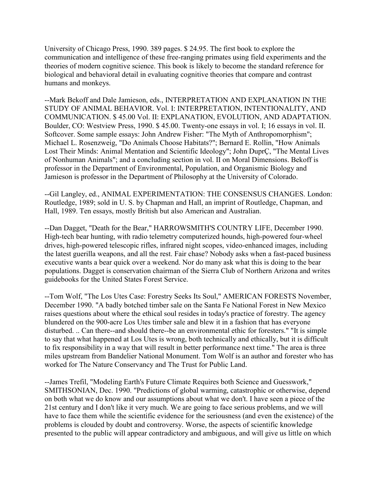University of Chicago Press, 1990. 389 pages. \$ 24.95. The first book to explore the communication and intelligence of these free-ranging primates using field experiments and the theories of modern cognitive science. This book is likely to become the standard reference for biological and behavioral detail in evaluating cognitive theories that compare and contrast humans and monkeys.

--Mark Bekoff and Dale Jamieson, eds., INTERPRETATION AND EXPLANATION IN THE STUDY OF ANIMAL BEHAVIOR. Vol. I: INTERPRETATION, INTENTIONALITY, AND COMMUNICATION. \$ 45.00 Vol. II: EXPLANATION, EVOLUTION, AND ADAPTATION. Boulder, CO: Westview Press, 1990. \$ 45.00. Twenty-one essays in vol. I; 16 essays in vol. II. Softcover. Some sample essays: John Andrew Fisher: "The Myth of Anthropomorphism"; Michael L. Rosenzweig, "Do Animals Choose Habitats?"; Bernard E. Rollin, "How Animals Lost Their Minds: Animal Mentation and Scientific Ideology"; John DuprÇ, "The Mental Lives of Nonhuman Animals"; and a concluding section in vol. II on Moral Dimensions. Bekoff is professor in the Department of Environmental, Population, and Organismic Biology and Jamieson is professor in the Department of Philosophy at the University of Colorado.

--Gil Langley, ed., ANIMAL EXPERIMENTATION: THE CONSENSUS CHANGES. London: Routledge, 1989; sold in U. S. by Chapman and Hall, an imprint of Routledge, Chapman, and Hall, 1989. Ten essays, mostly British but also American and Australian.

--Dan Dagget, "Death for the Bear," HARROWSMITH'S COUNTRY LIFE, December 1990. High-tech bear hunting, with radio telemetry computerized hounds, high-powered four-wheel drives, high-powered telescopic rifles, infrared night scopes, video-enhanced images, including the latest guerilla weapons, and all the rest. Fair chase? Nobody asks when a fast-paced business executive wants a bear quick over a weekend. Nor do many ask what this is doing to the bear populations. Dagget is conservation chairman of the Sierra Club of Northern Arizona and writes guidebooks for the United States Forest Service.

--Tom Wolf, "The Los Utes Case: Forestry Seeks Its Soul," AMERICAN FORESTS November, December 1990. "A badly botched timber sale on the Santa Fe National Forest in New Mexico raises questions about where the ethical soul resides in today's practice of forestry. The agency blundered on the 900-acre Los Utes timber sale and blew it in a fashion that has everyone disturbed. .. Can there--and should there--be an environmental ethic for foresters." "It is simple to say that what happened at Los Utes is wrong, both technically and ethically, but it is difficult to fix responsibility in a way that will result in better performance next time." The area is three miles upstream from Bandelier National Monument. Tom Wolf is an author and forester who has worked for The Nature Conservancy and The Trust for Public Land.

--James Trefil, "Modeling Earth's Future Climate Requires both Science and Guesswork," SMITHSONIAN, Dec. 1990. "Predictions of global warming, catastrophic or otherwise, depend on both what we do know and our assumptions about what we don't. I have seen a piece of the 21st century and I don't like it very much. We are going to face serious problems, and we will have to face them while the scientific evidence for the seriousness (and even the existence) of the problems is clouded by doubt and controversy. Worse, the aspects of scientific knowledge presented to the public will appear contradictory and ambiguous, and will give us little on which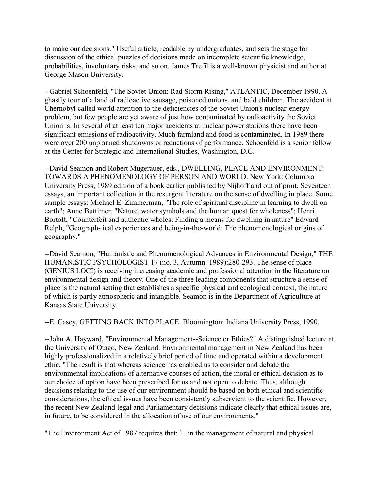to make our decisions." Useful article, readable by undergraduates, and sets the stage for discussion of the ethical puzzles of decisions made on incomplete scientific knowledge, probabilities, involuntary risks, and so on. James Trefil is a well-known physicist and author at George Mason University.

--Gabriel Schoenfeld, "The Soviet Union: Rad Storm Rising," ATLANTIC, December 1990. A ghastly tour of a land of radioactive sausage, poisoned onions, and bald children. The accident at Chernobyl called world attention to the deficiencies of the Soviet Union's nuclear-energy problem, but few people are yet aware of just how contaminated by radioactivity the Soviet Union is. In several of at least ten major accidents at nuclear power stations there have been significant emissions of radioactivity. Much farmland and food is contaminated. In 1989 there were over 200 unplanned shutdowns or reductions of performance. Schoenfeld is a senior fellow at the Center for Strategic and International Studies, Washington, D.C.

--David Seamon and Robert Mugerauer, eds., DWELLING, PLACE AND ENVIRONMENT: TOWARDS A PHENOMENOLOGY OF PERSON AND WORLD. New York: Columbia University Press, 1989 edition of a book earlier published by Nijhoff and out of print. Seventeen essays, an important collection in the resurgent literature on the sense of dwelling in place. Some sample essays: Michael E. Zimmerman, "The role of spiritual discipline in learning to dwell on earth"; Anne Buttimer, "Nature, water symbols and the human quest for wholeness"; Henri Bortoft, "Counterfeit and authentic wholes: Finding a means for dwelling in nature" Edward Relph, "Geograph- ical experiences and being-in-the-world: The phenomenological origins of geography."

--David Seamon, "Humanistic and Phenomenological Advances in Environmental Design," THE HUMANISTIC PSYCHOLOGIST 17 (no. 3, Autumn, 1989):280-293. The sense of place (GENIUS LOCI) is receiving increasing academic and professional attention in the literature on environmental design and theory. One of the three leading components that structure a sense of place is the natural setting that establishes a specific physical and ecological context, the nature of which is partly atmospheric and intangible. Seamon is in the Department of Agriculture at Kansas State University.

--E. Casey, GETTING BACK INTO PLACE. Bloomington: Indiana University Press, 1990.

--John A. Hayward, "Environmental Management--Science or Ethics?" A distinguished lecture at the University of Otago, New Zealand. Environmental management in New Zealand has been highly professionalized in a relatively brief period of time and operated within a development ethic. "The result is that whereas science has enabled us to consider and debate the environmental implications of alternative courses of action, the moral or ethical decision as to our choice of option have been prescribed for us and not open to debate. Thus, although decisions relating to the use of our environment should be based on both ethical and scientific considerations, the ethical issues have been consistently subservient to the scientific. However, the recent New Zealand legal and Parliamentary decisions indicate clearly that ethical issues are, in future, to be considered in the allocation of use of our environments."

"The Environment Act of 1987 requires that: `...in the management of natural and physical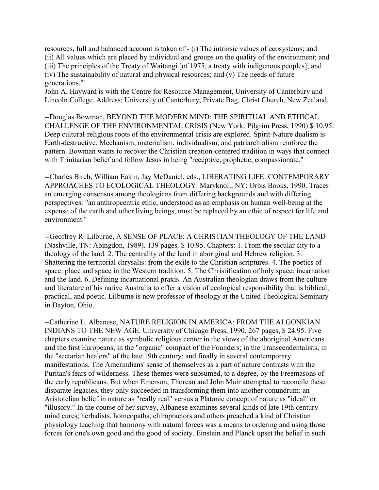resources, full and balanced account is taken of - (i) The intrinsic values of ecosystems; and (ii) All values which are placed by individual and groups on the quality of the environment; and (iii) The principles of the Treaty of Waitangi [of 1975, a treaty with indigenous peoples]; and (iv) The sustainability of natural and physical resources; and (v) The needs of future generations.'"

John A. Hayward is with the Centre for Resource Management, University of Canterbury and Lincoln College. Address: University of Canterbury, Private Bag, Christ Church, New Zealand.

--Douglas Bowman, BEYOND THE MODERN MIND: THE SPIRITUAL AND ETHICAL CHALLENGE OF THE ENVIRONMENTAL CRISIS (New York: Pilgrim Press, 1990) \$ 10.95. Deep cultural-religious roots of the environmental crisis are explored. Spirit-Nature dualism is Earth-destructive. Mechanism, materialism, individualism, and patriarchialism reinforce the pattern. Bowman wants to recover the Christian creation-centered tradition in ways that connect with Trinitarian belief and follow Jesus in being "receptive, prophetic, compassionate."

--Charles Birch, William Eakin, Jay McDaniel, eds., LIBERATING LIFE: CONTEMPORARY APPROACHES TO ECOLOGICAL THEOLOGY. Maryknoll, NY: Orbis Books, 1990. Traces an emerging consensus among theologians from differing backgrounds and with differing perspectives: "an anthropcentric ethic, understood as an emphasis on human well-being at the expense of the earth and other living beings, must be replaced by an ethic of respect for life and environment."

--Geoffrey R. Lilburne, A SENSE OF PLACE: A CHRISTIAN THEOLOGY OF THE LAND (Nashville, TN: Abingdon, 1989). 139 pages. \$ 10.95. Chapters: 1. From the secular city to a theology of the land. 2. The centrality of the land in aboriginal and Hebrew religion. 3. Shattering the territorial chrysalis: from the exile to the Christian scriptures. 4. The poetics of space: place and space in the Western tradition. 5. The Christification of holy space: incarnation and the land. 6. Defining incarnational praxis. An Australian theologian draws from the culture and literature of his native Australia to offer a vision of ecological responsibility that is biblical, practical, and poetic. Lilburne is now professor of theology at the United Theological Seminary in Dayton, Ohio.

--Catherine L. Albanese, NATURE RELIGION IN AMERICA: FROM THE ALGONKIAN INDIANS TO THE NEW AGE. University of Chicago Press, 1990. 267 pages, \$ 24.95. Five chapters examine nature as symbolic religious center in the views of the aboriginal Americans and the first Europeans; in the "organic" compact of the Founders; in the Transcendentalists; in the "sectarian healers" of the late 19th century; and finally in several contemporary manifestations. The Amerindians' sense of themselves as a part of nature contrasts with the Puritan's fears of wilderness. These themes were subsumed, to a degree, by the Freemasons of the early republicans. But when Emerson, Thoreau and John Muir attempted to reconcile these disparate legacies, they only succeeded in transforming them into another conundrum: an Aristotelian belief in nature as "really real" versus a Platonic concept of nature as "ideal" or "illusory." In the course of her survey, Albanese examines several kinds of late 19th century mind cures; herbalists, homeopaths, chiropractors and others preached a kind of Christian physiology teaching that harmony with natural forces was a means to ordering and using those forces for one's own good and the good of society. Einstein and Planck upset the belief in such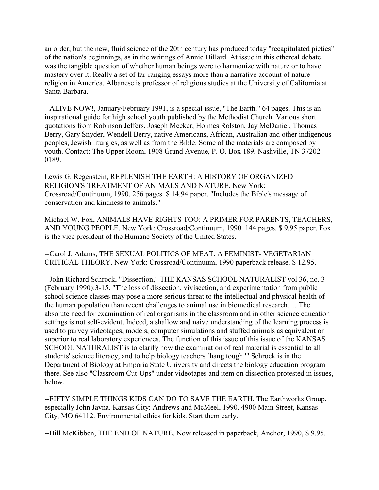an order, but the new, fluid science of the 20th century has produced today "recapitulated pieties" of the nation's beginnings, as in the writings of Annie Dillard. At issue in this ethereal debate was the tangible question of whether human beings were to harmonize with nature or to have mastery over it. Really a set of far-ranging essays more than a narrative account of nature religion in America. Albanese is professor of religious studies at the University of California at Santa Barbara.

--ALIVE NOW!, January/February 1991, is a special issue, "The Earth." 64 pages. This is an inspirational guide for high school youth published by the Methodist Church. Various short quotations from Robinson Jeffers, Joseph Meeker, Holmes Rolston, Jay McDaniel, Thomas Berry, Gary Snyder, Wendell Berry, native Americans, African, Australian and other indigenous peoples, Jewish liturgies, as well as from the Bible. Some of the materials are composed by youth. Contact: The Upper Room, 1908 Grand Avenue, P. O. Box 189, Nashville, TN 37202- 0189.

Lewis G. Regenstein, REPLENISH THE EARTH: A HISTORY OF ORGANIZED RELIGION'S TREATMENT OF ANIMALS AND NATURE. New York: Crossroad/Continuum, 1990. 256 pages. \$ 14.94 paper. "Includes the Bible's message of conservation and kindness to animals."

Michael W. Fox, ANIMALS HAVE RIGHTS TOO: A PRIMER FOR PARENTS, TEACHERS, AND YOUNG PEOPLE. New York: Crossroad/Continuum, 1990. 144 pages. \$ 9.95 paper. Fox is the vice president of the Humane Society of the United States.

--Carol J. Adams, THE SEXUAL POLITICS OF MEAT: A FEMINIST- VEGETARIAN CRITICAL THEORY. New York: Crossroad/Continuum, 1990 paperback release. \$ 12.95.

--John Richard Schrock, "Dissection," THE KANSAS SCHOOL NATURALIST vol 36, no. 3 (February 1990):3-15. "The loss of dissection, vivisection, and experimentation from public school science classes may pose a more serious threat to the intellectual and physical health of the human population than recent challenges to animal use in biomedical research. ... The absolute need for examination of real organisms in the classroom and in other science education settings is not self-evident. Indeed, a shallow and naive understanding of the learning process is used to purvey videotapes, models, computer simulations and stuffed animals as equivalent or superior to real laboratory experiences. The function of this issue of this issue of the KANSAS SCHOOL NATURALIST is to clarify how the examination of real material is essential to all students' science literacy, and to help biology teachers `hang tough.'" Schrock is in the Department of Biology at Emporia State University and directs the biology education program there. See also "Classroom Cut-Ups" under videotapes and item on dissection protested in issues, below.

--FIFTY SIMPLE THINGS KIDS CAN DO TO SAVE THE EARTH. The Earthworks Group, especially John Javna. Kansas City: Andrews and McMeel, 1990. 4900 Main Street, Kansas City, MO 64112. Environmental ethics for kids. Start them early.

--Bill McKibben, THE END OF NATURE. Now released in paperback, Anchor, 1990, \$ 9.95.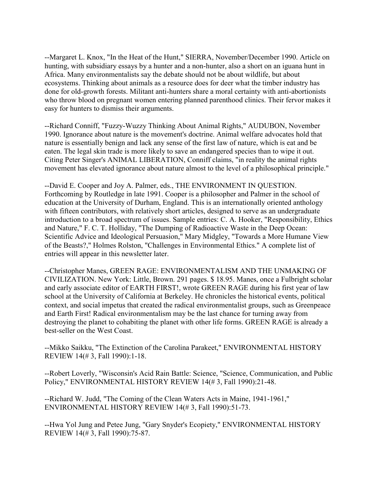--Margaret L. Knox, "In the Heat of the Hunt," SIERRA, November/December 1990. Article on hunting, with subsidiary essays by a hunter and a non-hunter, also a short on an iguana hunt in Africa. Many environmentalists say the debate should not be about wildlife, but about ecosystems. Thinking about animals as a resource does for deer what the timber industry has done for old-growth forests. Militant anti-hunters share a moral certainty with anti-abortionists who throw blood on pregnant women entering planned parenthood clinics. Their fervor makes it easy for hunters to dismiss their arguments.

--Richard Conniff, "Fuzzy-Wuzzy Thinking About Animal Rights," AUDUBON, November 1990. Ignorance about nature is the movement's doctrine. Animal welfare advocates hold that nature is essentially benign and lack any sense of the first law of nature, which is eat and be eaten. The legal skin trade is more likely to save an endangered species than to wipe it out. Citing Peter Singer's ANIMAL LIBERATION, Conniff claims, "in reality the animal rights movement has elevated ignorance about nature almost to the level of a philosophical principle."

--David E. Cooper and Joy A. Palmer, eds., THE ENVIRONMENT IN QUESTION. Forthcoming by Routledge in late 1991. Cooper is a philosopher and Palmer in the school of education at the University of Durham, England. This is an internationally oriented anthology with fifteen contributors, with relatively short articles, designed to serve as an undergraduate introduction to a broad spectrum of issues. Sample entries: C. A. Hooker, "Responsibility, Ethics and Nature," F. C. T. Holliday, "The Dumping of Radioactive Waste in the Deep Ocean: Scientific Advice and Ideological Persuasion," Mary Midgley, "Towards a More Humane View of the Beasts?," Holmes Rolston, "Challenges in Environmental Ethics." A complete list of entries will appear in this newsletter later.

--Christopher Manes, GREEN RAGE: ENVIRONMENTALISM AND THE UNMAKING OF CIVILIZATION. New York: Little, Brown. 291 pages. \$ 18.95. Manes, once a Fulbright scholar and early associate editor of EARTH FIRST!, wrote GREEN RAGE during his first year of law school at the University of California at Berkeley. He chronicles the historical events, political context, and social impetus that created the radical environmentalist groups, such as Greenpeace and Earth First! Radical environmentalism may be the last chance for turning away from destroying the planet to cohabiting the planet with other life forms. GREEN RAGE is already a best-seller on the West Coast.

--Mikko Saikku, "The Extinction of the Carolina Parakeet," ENVIRONMENTAL HISTORY REVIEW 14(# 3, Fall 1990):1-18.

--Robert Loverly, "Wisconsin's Acid Rain Battle: Science, "Science, Communication, and Public Policy," ENVIRONMENTAL HISTORY REVIEW 14(# 3, Fall 1990):21-48.

--Richard W. Judd, "The Coming of the Clean Waters Acts in Maine, 1941-1961," ENVIRONMENTAL HISTORY REVIEW 14(# 3, Fall 1990):51-73.

--Hwa Yol Jung and Petee Jung, "Gary Snyder's Ecopiety," ENVIRONMENTAL HISTORY REVIEW 14(# 3, Fall 1990):75-87.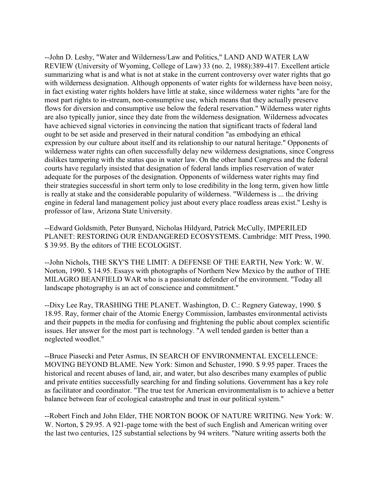--John D. Leshy, "Water and Wilderness/Law and Politics," LAND AND WATER LAW REVIEW (University of Wyoming, College of Law) 33 (no. 2, 1988):389-417. Excellent article summarizing what is and what is not at stake in the current controversy over water rights that go with wilderness designation. Although opponents of water rights for wilderness have been noisy, in fact existing water rights holders have little at stake, since wilderness water rights "are for the most part rights to in-stream, non-consumptive use, which means that they actually preserve flows for diversion and consumptive use below the federal reservation." Wilderness water rights are also typically junior, since they date from the wilderness designation. Wilderness advocates have achieved signal victories in convincing the nation that significant tracts of federal land ought to be set aside and preserved in their natural condition "as embodying an ethical expression by our culture about itself and its relationship to our natural heritage." Opponents of wilderness water rights can often successfully delay new wilderness designations, since Congress dislikes tampering with the status quo in water law. On the other hand Congress and the federal courts have regularly insisted that designation of federal lands implies reservation of water adequate for the purposes of the designation. Opponents of wilderness water rights may find their strategies successful in short term only to lose credibility in the long term, given how little is really at stake and the considerable popularity of wilderness. "Wilderness is ... the driving engine in federal land management policy just about every place roadless areas exist." Leshy is professor of law, Arizona State University.

--Edward Goldsmith, Peter Bunyard, Nicholas Hildyard, Patrick McCully, IMPERILED PLANET: RESTORING OUR ENDANGERED ECOSYSTEMS. Cambridge: MIT Press, 1990. \$ 39.95. By the editors of THE ECOLOGIST.

--John Nichols, THE SKY'S THE LIMIT: A DEFENSE OF THE EARTH, New York: W. W. Norton, 1990. \$ 14.95. Essays with photographs of Northern New Mexico by the author of THE MILAGRO BEANFIELD WAR who is a passionate defender of the environment. "Today all landscape photography is an act of conscience and commitment."

--Dixy Lee Ray, TRASHING THE PLANET. Washington, D. C.: Regnery Gateway, 1990. \$ 18.95. Ray, former chair of the Atomic Energy Commission, lambastes environmental activists and their puppets in the media for confusing and frightening the public about complex scientific issues. Her answer for the most part is technology. "A well tended garden is better than a neglected woodlot."

--Bruce Piasecki and Peter Asmus, IN SEARCH OF ENVIRONMENTAL EXCELLENCE: MOVING BEYOND BLAME. New York: Simon and Schuster, 1990. \$ 9.95 paper. Traces the historical and recent abuses of land, air, and water, but also describes many examples of public and private entities successfully searching for and finding solutions. Government has a key role as facilitator and coordinator. "The true test for American environmentalism is to achieve a better balance between fear of ecological catastrophe and trust in our political system."

--Robert Finch and John Elder, THE NORTON BOOK OF NATURE WRITING. New York: W. W. Norton, \$ 29.95. A 921-page tome with the best of such English and American writing over the last two centuries, 125 substantial selections by 94 writers. "Nature writing asserts both the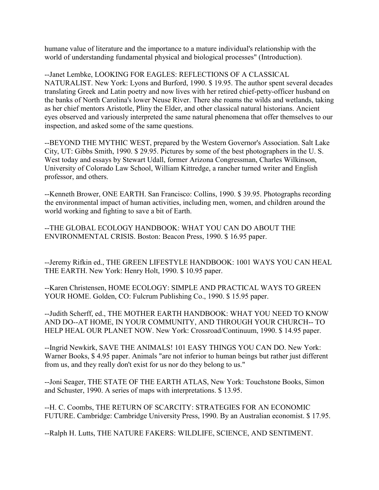humane value of literature and the importance to a mature individual's relationship with the world of understanding fundamental physical and biological processes" (Introduction).

--Janet Lembke, LOOKING FOR EAGLES: REFLECTIONS OF A CLASSICAL NATURALIST. New York: Lyons and Burford, 1990. \$ 19.95. The author spent several decades translating Greek and Latin poetry and now lives with her retired chief-petty-officer husband on the banks of North Carolina's lower Neuse River. There she roams the wilds and wetlands, taking as her chief mentors Aristotle, Pliny the Elder, and other classical natural historians. Ancient eyes observed and variously interpreted the same natural phenomena that offer themselves to our inspection, and asked some of the same questions.

--BEYOND THE MYTHIC WEST, prepared by the Western Governor's Association. Salt Lake City, UT: Gibbs Smith, 1990. \$ 29.95. Pictures by some of the best photographers in the U. S. West today and essays by Stewart Udall, former Arizona Congressman, Charles Wilkinson, University of Colorado Law School, William Kittredge, a rancher turned writer and English professor, and others.

--Kenneth Brower, ONE EARTH. San Francisco: Collins, 1990. \$ 39.95. Photographs recording the environmental impact of human activities, including men, women, and children around the world working and fighting to save a bit of Earth.

--THE GLOBAL ECOLOGY HANDBOOK: WHAT YOU CAN DO ABOUT THE ENVIRONMENTAL CRISIS. Boston: Beacon Press, 1990. \$ 16.95 paper.

--Jeremy Rifkin ed., THE GREEN LIFESTYLE HANDBOOK: 1001 WAYS YOU CAN HEAL THE EARTH. New York: Henry Holt, 1990. \$ 10.95 paper.

--Karen Christensen, HOME ECOLOGY: SIMPLE AND PRACTICAL WAYS TO GREEN YOUR HOME. Golden, CO: Fulcrum Publishing Co., 1990. \$ 15.95 paper.

--Judith Scherff, ed., THE MOTHER EARTH HANDBOOK: WHAT YOU NEED TO KNOW AND DO--AT HOME, IN YOUR COMMUNITY, AND THROUGH YOUR CHURCH-- TO HELP HEAL OUR PLANET NOW. New York: Crossroad/Continuum, 1990. \$ 14.95 paper.

--Ingrid Newkirk, SAVE THE ANIMALS! 101 EASY THINGS YOU CAN DO. New York: Warner Books, \$ 4.95 paper. Animals "are not inferior to human beings but rather just different from us, and they really don't exist for us nor do they belong to us."

--Joni Seager, THE STATE OF THE EARTH ATLAS, New York: Touchstone Books, Simon and Schuster, 1990. A series of maps with interpretations. \$ 13.95.

--H. C. Coombs, THE RETURN OF SCARCITY: STRATEGIES FOR AN ECONOMIC FUTURE. Cambridge: Cambridge University Press, 1990. By an Australian economist. \$ 17.95.

--Ralph H. Lutts, THE NATURE FAKERS: WILDLIFE, SCIENCE, AND SENTIMENT.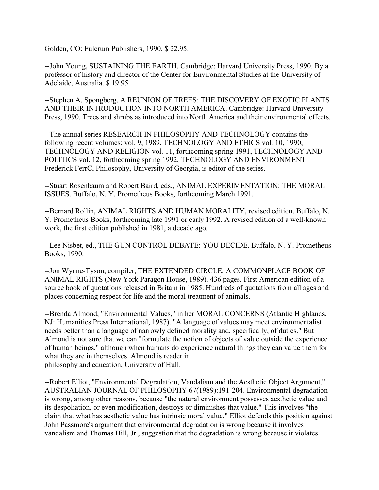Golden, CO: Fulcrum Publishers, 1990. \$ 22.95.

--John Young, SUSTAINING THE EARTH. Cambridge: Harvard University Press, 1990. By a professor of history and director of the Center for Environmental Studies at the University of Adelaide, Australia. \$ 19.95.

--Stephen A. Spongberg, A REUNION OF TREES: THE DISCOVERY OF EXOTIC PLANTS AND THEIR INTRODUCTION INTO NORTH AMERICA. Cambridge: Harvard University Press, 1990. Trees and shrubs as introduced into North America and their environmental effects.

--The annual series RESEARCH IN PHILOSOPHY AND TECHNOLOGY contains the following recent volumes: vol. 9, 1989, TECHNOLOGY AND ETHICS vol. 10, 1990, TECHNOLOGY AND RELIGION vol. 11, forthcoming spring 1991, TECHNOLOGY AND POLITICS vol. 12, forthcoming spring 1992, TECHNOLOGY AND ENVIRONMENT Frederick FerrÇ, Philosophy, University of Georgia, is editor of the series.

--Stuart Rosenbaum and Robert Baird, eds., ANIMAL EXPERIMENTATION: THE MORAL ISSUES. Buffalo, N. Y. Prometheus Books, forthcoming March 1991.

--Bernard Rollin, ANIMAL RIGHTS AND HUMAN MORALITY, revised edition. Buffalo, N. Y. Prometheus Books, forthcoming late 1991 or early 1992. A revised edition of a well-known work, the first edition published in 1981, a decade ago.

--Lee Nisbet, ed., THE GUN CONTROL DEBATE: YOU DECIDE. Buffalo, N. Y. Prometheus Books, 1990.

--Jon Wynne-Tyson, compiler, THE EXTENDED CIRCLE: A COMMONPLACE BOOK OF ANIMAL RIGHTS (New York Paragon House, 1989). 436 pages. First American edition of a source book of quotations released in Britain in 1985. Hundreds of quotations from all ages and places concerning respect for life and the moral treatment of animals.

--Brenda Almond, "Environmental Values," in her MORAL CONCERNS (Atlantic Highlands, NJ: Humanities Press International, 1987). "A language of values may meet environmentalist needs better than a language of narrowly defined morality and, specifically, of duties." But Almond is not sure that we can "formulate the notion of objects of value outside the experience of human beings," although when humans do experience natural things they can value them for what they are in themselves. Almond is reader in philosophy and education, University of Hull.

--Robert Elliot, "Environmental Degradation, Vandalism and the Aesthetic Object Argument," AUSTRALIAN JOURNAL OF PHILOSOPHY 67(1989):191-204. Environmental degradation is wrong, among other reasons, because "the natural environment possesses aesthetic value and its despoliation, or even modification, destroys or diminishes that value." This involves "the claim that what has aesthetic value has intrinsic moral value." Elliot defends this position against John Passmore's argument that environmental degradation is wrong because it involves vandalism and Thomas Hill, Jr., suggestion that the degradation is wrong because it violates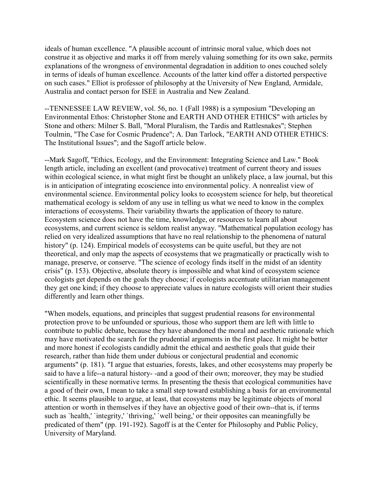ideals of human excellence. "A plausible account of intrinsic moral value, which does not construe it as objective and marks it off from merely valuing something for its own sake, permits explanations of the wrongness of environmental degradation in addition to ones couched solely in terms of ideals of human excellence. Accounts of the latter kind offer a distorted perspective on such cases." Elliot is professor of philosophy at the University of New England, Armidale, Australia and contact person for ISEE in Australia and New Zealand.

--TENNESSEE LAW REVIEW, vol. 56, no. 1 (Fall 1988) is a symposium "Developing an Environmental Ethos: Christopher Stone and EARTH AND OTHER ETHICS" with articles by Stone and others: Milner S. Ball, "Moral Pluralism, the Tardis and Rattlesnakes"; Stephen Toulmin, "The Case for Cosmic Prudence"; A. Dan Tarlock, "EARTH AND OTHER ETHICS: The Institutional Issues"; and the Sagoff article below.

--Mark Sagoff, "Ethics, Ecology, and the Environment: Integrating Science and Law." Book length article, including an excellent (and provocative) treatment of current theory and issues within ecological science, in what might first be thought an unlikely place, a law journal, but this is in anticipation of integrating ecoscience into environmental policy. A nonrealist view of environmental science. Environmental policy looks to ecosystem science for help, but theoretical mathematical ecology is seldom of any use in telling us what we need to know in the complex interactions of ecosystems. Their variability thwarts the application of theory to nature. Ecosystem science does not have the time, knowledge, or resources to learn all about ecosystems, and current science is seldom realist anyway. "Mathematical population ecology has relied on very idealized assumptions that have no real relationship to the phenomena of natural history" (p. 124). Empirical models of ecosystems can be quite useful, but they are not theoretical, and only map the aspects of ecosystems that we pragmatically or practically wish to manage, preserve, or conserve. "The science of ecology finds itself in the midst of an identity crisis" (p. 153). Objective, absolute theory is impossible and what kind of ecosystem science ecologists get depends on the goals they choose; if ecologists accentuate utilitarian management they get one kind; if they choose to appreciate values in nature ecologists will orient their studies differently and learn other things.

"When models, equations, and principles that suggest prudential reasons for environmental protection prove to be unfounded or spurious, those who support them are left with little to contribute to public debate, because they have abandoned the moral and aesthetic rationale which may have motivated the search for the prudential arguments in the first place. It might be better and more honest if ecologists candidly admit the ethical and aesthetic goals that guide their research, rather than hide them under dubious or conjectural prudential and economic arguments" (p. 181). "I argue that estuaries, forests, lakes, and other ecosystems may properly be said to have a life--a natural history- -and a good of their own; moreover, they may be studied scientifically in these normative terms. In presenting the thesis that ecological communities have a good of their own, I mean to take a small step toward establishing a basis for an environmental ethic. It seems plausible to argue, at least, that ecosystems may be legitimate objects of moral attention or worth in themselves if they have an objective good of their own--that is, if terms such as 'health,' 'integrity,' 'thriving,' 'well being,' or their opposites can meaningfully be predicated of them" (pp. 191-192). Sagoff is at the Center for Philosophy and Public Policy, University of Maryland.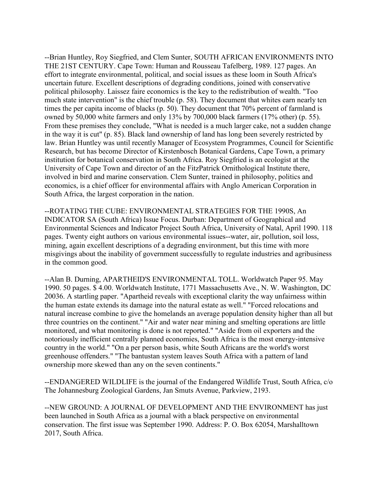--Brian Huntley, Roy Siegfried, and Clem Sunter, SOUTH AFRICAN ENVIRONMENTS INTO THE 21ST CENTURY. Cape Town: Human and Rousseau Tafelberg, 1989. 127 pages. An effort to integrate environmental, political, and social issues as these loom in South Africa's uncertain future. Excellent descriptions of degrading conditions, joined with conservative political philosophy. Laissez faire economics is the key to the redistribution of wealth. "Too much state intervention" is the chief trouble (p. 58). They document that whites earn nearly ten times the per capita income of blacks (p. 50). They document that 70% percent of farmland is owned by 50,000 white farmers and only 13% by 700,000 black farmers (17% other) (p. 55). From these premises they conclude, "What is needed is a much larger cake, not a sudden change in the way it is cut" (p. 85). Black land ownership of land has long been severely restricted by law. Brian Huntley was until recently Manager of Ecosystem Programmes, Council for Scientific Research, but has become Director of Kirstenbosch Botanical Gardens, Cape Town, a primary institution for botanical conservation in South Africa. Roy Siegfried is an ecologist at the University of Cape Town and director of an the FitzPatrick Ornithological Institute there, involved in bird and marine conservation. Clem Sunter, trained in philosophy, politics and economics, is a chief officer for environmental affairs with Anglo American Corporation in South Africa, the largest corporation in the nation.

--ROTATING THE CUBE: ENVIRONMENTAL STRATEGIES FOR THE 1990S, An INDICATOR SA (South Africa) Issue Focus. Durban: Department of Geographical and Environmental Sciences and Indicator Project South Africa, University of Natal, April 1990. 118 pages. Twenty eight authors on various environmental issues--water, air, pollution, soil loss, mining, again excellent descriptions of a degrading environment, but this time with more misgivings about the inability of government successfully to regulate industries and agribusiness in the common good.

--Alan B. Durning, APARTHEID'S ENVIRONMENTAL TOLL. Worldwatch Paper 95. May 1990. 50 pages. \$ 4.00. Worldwatch Institute, 1771 Massachusetts Ave., N. W. Washington, DC 20036. A startling paper. "Apartheid reveals with exceptional clarity the way unfairness within the human estate extends its damage into the natural estate as well." "Forced relocations and natural increase combine to give the homelands an average population density higher than all but three countries on the continent." "Air and water near mining and smelting operations are little monitored, and what monitoring is done is not reported." "Aside from oil exporters and the notoriously inefficient centrally planned economies, South Africa is the most energy-intensive country in the world." "On a per person basis, white South Africans are the world's worst greenhouse offenders." "The bantustan system leaves South Africa with a pattern of land ownership more skewed than any on the seven continents."

--ENDANGERED WILDLIFE is the journal of the Endangered Wildlife Trust, South Africa, c/o The Johannesburg Zoological Gardens, Jan Smuts Avenue, Parkview, 2193.

--NEW GROUND: A JOURNAL OF DEVELOPMENT AND THE ENVIRONMENT has just been launched in South Africa as a journal with a black perspective on environmental conservation. The first issue was September 1990. Address: P. O. Box 62054, Marshalltown 2017, South Africa.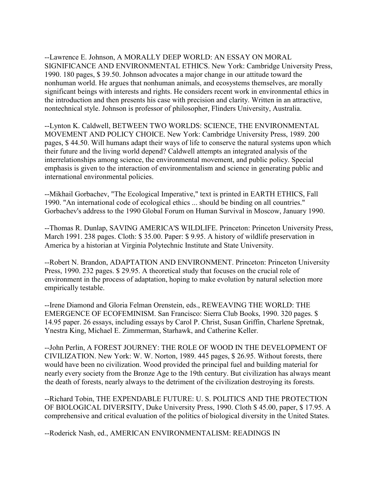--Lawrence E. Johnson, A MORALLY DEEP WORLD: AN ESSAY ON MORAL SIGNIFICANCE AND ENVIRONMENTAL ETHICS. New York: Cambridge University Press, 1990. 180 pages, \$ 39.50. Johnson advocates a major change in our attitude toward the nonhuman world. He argues that nonhuman animals, and ecosystems themselves, are morally significant beings with interests and rights. He considers recent work in environmental ethics in the introduction and then presents his case with precision and clarity. Written in an attractive, nontechnical style. Johnson is professor of philosopher, Flinders University, Australia.

--Lynton K. Caldwell, BETWEEN TWO WORLDS: SCIENCE, THE ENVIRONMENTAL MOVEMENT AND POLICY CHOICE. New York: Cambridge University Press, 1989. 200 pages, \$ 44.50. Will humans adapt their ways of life to conserve the natural systems upon which their future and the living world depend? Caldwell attempts an integrated analysis of the interrelationships among science, the environmental movement, and public policy. Special emphasis is given to the interaction of environmentalism and science in generating public and international environmental policies.

--Mikhail Gorbachev, "The Ecological Imperative," text is printed in EARTH ETHICS, Fall 1990. "An international code of ecological ethics ... should be binding on all countries." Gorbachev's address to the 1990 Global Forum on Human Survival in Moscow, January 1990.

--Thomas R. Dunlap, SAVING AMERICA'S WILDLIFE. Princeton: Princeton University Press, March 1991. 238 pages. Cloth: \$ 35.00. Paper: \$ 9.95. A history of wildlife preservation in America by a historian at Virginia Polytechnic Institute and State University.

--Robert N. Brandon, ADAPTATION AND ENVIRONMENT. Princeton: Princeton University Press, 1990. 232 pages. \$ 29.95. A theoretical study that focuses on the crucial role of environment in the process of adaptation, hoping to make evolution by natural selection more empirically testable.

--Irene Diamond and Gloria Felman Orenstein, eds., REWEAVING THE WORLD: THE EMERGENCE OF ECOFEMINISM. San Francisco: Sierra Club Books, 1990. 320 pages. \$ 14.95 paper. 26 essays, including essays by Carol P. Christ, Susan Griffin, Charlene Spretnak, Ynestra King, Michael E. Zimmerman, Starhawk, and Catherine Keller.

--John Perlin, A FOREST JOURNEY: THE ROLE OF WOOD IN THE DEVELOPMENT OF CIVILIZATION. New York: W. W. Norton, 1989. 445 pages, \$ 26.95. Without forests, there would have been no civilization. Wood provided the principal fuel and building material for nearly every society from the Bronze Age to the 19th century. But civilization has always meant the death of forests, nearly always to the detriment of the civilization destroying its forests.

--Richard Tobin, THE EXPENDABLE FUTURE: U. S. POLITICS AND THE PROTECTION OF BIOLOGICAL DIVERSITY, Duke University Press, 1990. Cloth \$ 45.00, paper, \$ 17.95. A comprehensive and critical evaluation of the politics of biological diversity in the United States.

--Roderick Nash, ed., AMERICAN ENVIRONMENTALISM: READINGS IN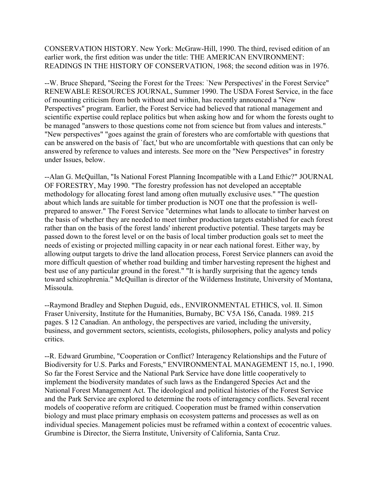CONSERVATION HISTORY. New York: McGraw-Hill, 1990. The third, revised edition of an earlier work, the first edition was under the title: THE AMERICAN ENVIRONMENT: READINGS IN THE HISTORY OF CONSERVATION, 1968; the second edition was in 1976.

--W. Bruce Shepard, "Seeing the Forest for the Trees: `New Perspectives' in the Forest Service" RENEWABLE RESOURCES JOURNAL, Summer 1990. The USDA Forest Service, in the face of mounting criticism from both without and within, has recently announced a "New Perspectives" program. Earlier, the Forest Service had believed that rational management and scientific expertise could replace politics but when asking how and for whom the forests ought to be managed "answers to those questions come not from science but from values and interests." "New perspectives" "goes against the grain of foresters who are comfortable with questions that can be answered on the basis of `fact,' but who are uncomfortable with questions that can only be answered by reference to values and interests. See more on the "New Perspectives" in forestry under Issues, below.

--Alan G. McQuillan, "Is National Forest Planning Incompatible with a Land Ethic?" JOURNAL OF FORESTRY, May 1990. "The forestry profession has not developed an acceptable methodology for allocating forest land among often mutually exclusive uses." "The question about which lands are suitable for timber production is NOT one that the profession is wellprepared to answer." The Forest Service "determines what lands to allocate to timber harvest on the basis of whether they are needed to meet timber production targets established for each forest rather than on the basis of the forest lands' inherent productive potential. These targets may be passed down to the forest level or on the basis of local timber production goals set to meet the needs of existing or projected milling capacity in or near each national forest. Either way, by allowing output targets to drive the land allocation process, Forest Service planners can avoid the more difficult question of whether road building and timber harvesting represent the highest and best use of any particular ground in the forest." "It is hardly surprising that the agency tends toward schizophrenia." McQuillan is director of the Wilderness Institute, University of Montana, Missoula.

--Raymond Bradley and Stephen Duguid, eds., ENVIRONMENTAL ETHICS, vol. II. Simon Fraser University, Institute for the Humanities, Burnaby, BC V5A 1S6, Canada. 1989. 215 pages. \$ 12 Canadian. An anthology, the perspectives are varied, including the university, business, and government sectors, scientists, ecologists, philosophers, policy analysts and policy critics.

--R. Edward Grumbine, "Cooperation or Conflict? Interagency Relationships and the Future of Biodiversity for U.S. Parks and Forests," ENVIRONMENTAL MANAGEMENT 15, no.1, 1990. So far the Forest Service and the National Park Service have done little cooperatively to implement the biodiversity mandates of such laws as the Endangered Species Act and the National Forest Management Act. The ideological and political histories of the Forest Service and the Park Service are explored to determine the roots of interagency conflicts. Several recent models of cooperative reform are critiqued. Cooperation must be framed within conservation biology and must place primary emphasis on ecosystem patterns and processes as well as on individual species. Management policies must be reframed within a context of ecocentric values. Grumbine is Director, the Sierra Institute, University of California, Santa Cruz.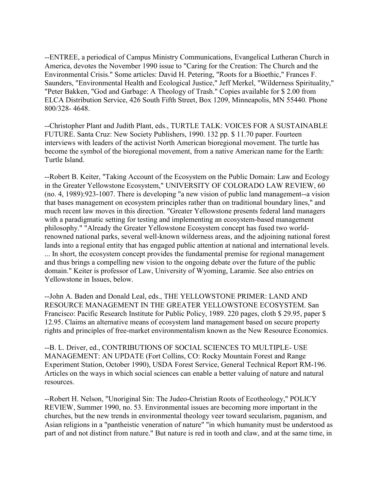--ENTREE, a periodical of Campus Ministry Communications, Evangelical Lutheran Church in America, devotes the November 1990 issue to "Caring for the Creation: The Church and the Environmental Crisis." Some articles: David H. Petering, "Roots for a Bioethic," Frances F. Saunders, "Environmental Health and Ecological Justice," Jeff Merkel, "Wilderness Spirituality," "Peter Bakken, "God and Garbage: A Theology of Trash." Copies available for \$ 2.00 from ELCA Distribution Service, 426 South Fifth Street, Box 1209, Minneapolis, MN 55440. Phone 800/328- 4648.

--Christopher Plant and Judith Plant, eds., TURTLE TALK: VOICES FOR A SUSTAINABLE FUTURE. Santa Cruz: New Society Publishers, 1990. 132 pp. \$ 11.70 paper. Fourteen interviews with leaders of the activist North American bioregional movement. The turtle has become the symbol of the bioregional movement, from a native American name for the Earth: Turtle Island.

--Robert B. Keiter, "Taking Account of the Ecosystem on the Public Domain: Law and Ecology in the Greater Yellowstone Ecosystem," UNIVERSITY OF COLORADO LAW REVIEW, 60 (no. 4, 1989):923-1007. There is developing "a new vision of public land management--a vision that bases management on ecosystem principles rather than on traditional boundary lines," and much recent law moves in this direction. "Greater Yellowstone presents federal land managers with a paradigmatic setting for testing and implementing an ecosystem-based management philosophy." "Already the Greater Yellowstone Ecosystem concept has fused two worldrenowned national parks, several well-known wilderness areas, and the adjoining national forest lands into a regional entity that has engaged public attention at national and international levels. ... In short, the ecosystem concept provides the fundamental premise for regional management and thus brings a compelling new vision to the ongoing debate over the future of the public domain." Keiter is professor of Law, University of Wyoming, Laramie. See also entries on Yellowstone in Issues, below.

--John A. Baden and Donald Leal, eds., THE YELLOWSTONE PRIMER: LAND AND RESOURCE MANAGEMENT IN THE GREATER YELLOWSTONE ECOSYSTEM. San Francisco: Pacific Research Institute for Public Policy, 1989. 220 pages, cloth \$ 29.95, paper \$ 12.95. Claims an alternative means of ecosystem land management based on secure property rights and principles of free-market environmentalism known as the New Resource Economics.

--B. L. Driver, ed., CONTRIBUTIONS OF SOCIAL SCIENCES TO MULTIPLE- USE MANAGEMENT: AN UPDATE (Fort Collins, CO: Rocky Mountain Forest and Range Experiment Station, October 1990), USDA Forest Service, General Technical Report RM-196. Articles on the ways in which social sciences can enable a better valuing of nature and natural resources.

--Robert H. Nelson, "Unoriginal Sin: The Judeo-Christian Roots of Ecotheology," POLICY REVIEW, Summer 1990, no. 53. Environmental issues are becoming more important in the churches, but the new trends in environmental theology veer toward secularism, paganism, and Asian religions in a "pantheistic veneration of nature" "in which humanity must be understood as part of and not distinct from nature." But nature is red in tooth and claw, and at the same time, in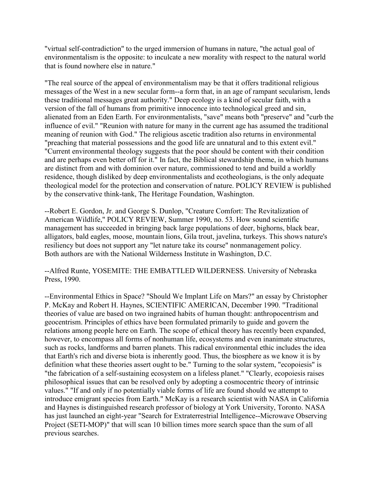"virtual self-contradiction" to the urged immersion of humans in nature, "the actual goal of environmentalism is the opposite: to inculcate a new morality with respect to the natural world that is found nowhere else in nature."

"The real source of the appeal of environmentalism may be that it offers traditional religious messages of the West in a new secular form--a form that, in an age of rampant secularism, lends these traditional messages great authority." Deep ecology is a kind of secular faith, with a version of the fall of humans from primitive innocence into technological greed and sin, alienated from an Eden Earth. For environmentalists, "save" means both "preserve" and "curb the influence of evil." "Reunion with nature for many in the current age has assumed the traditional meaning of reunion with God." The religious ascetic tradition also returns in environmental "preaching that material possessions and the good life are unnatural and to this extent evil." "Current environmental theology suggests that the poor should be content with their condition and are perhaps even better off for it." In fact, the Biblical stewardship theme, in which humans are distinct from and with dominion over nature, commissioned to tend and build a worldly residence, though disliked by deep environmentalists and ecotheologians, is the only adequate theological model for the protection and conservation of nature. POLICY REVIEW is published by the conservative think-tank, The Heritage Foundation, Washington.

--Robert E. Gordon, Jr. and George S. Dunlop, "Creature Comfort: The Revitalization of American Wildlife," POLICY REVIEW, Summer 1990, no. 53. How sound scientific management has succeeded in bringing back large populations of deer, bighorns, black bear, alligators, bald eagles, moose, mountain lions, Gila trout, javelina, turkeys. This shows nature's resiliency but does not support any "let nature take its course" nonmanagement policy. Both authors are with the National Wilderness Institute in Washington, D.C.

--Alfred Runte, YOSEMITE: THE EMBATTLED WILDERNESS. University of Nebraska Press, 1990.

--Environmental Ethics in Space? "Should We Implant Life on Mars?" an essay by Christopher P. McKay and Robert H. Haynes, SCIENTIFIC AMERICAN, December 1990. "Traditional theories of value are based on two ingrained habits of human thought: anthropocentrism and geocentrism. Principles of ethics have been formulated primarily to guide and govern the relations among people here on Earth. The scope of ethical theory has recently been expanded, however, to encompass all forms of nonhuman life, ecosystems and even inanimate structures, such as rocks, landforms and barren planets. This radical environmental ethic includes the idea that Earth's rich and diverse biota is inherently good. Thus, the biosphere as we know it is by definition what these theories assert ought to be." Turning to the solar system, "ecopoiesis" is "the fabrication of a self-sustaining ecosystem on a lifeless planet." "Clearly, ecopoiesis raises philosophical issues that can be resolved only by adopting a cosmocentric theory of intrinsic values." "If and only if no potentially viable forms of life are found should we attempt to introduce emigrant species from Earth." McKay is a research scientist with NASA in California and Haynes is distinguished research professor of biology at York University, Toronto. NASA has just launched an eight-year "Search for Extraterrestrial Intelligence--Microwave Observing Project (SETI-MOP)" that will scan 10 billion times more search space than the sum of all previous searches.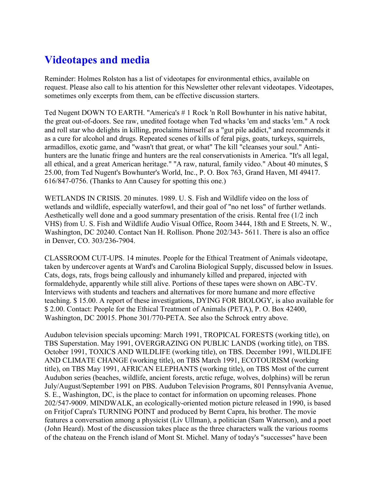# **Videotapes and media**

Reminder: Holmes Rolston has a list of videotapes for environmental ethics, available on request. Please also call to his attention for this Newsletter other relevant videotapes. Videotapes, sometimes only excerpts from them, can be effective discussion starters.

Ted Nugent DOWN TO EARTH. "America's # 1 Rock 'n Roll Bowhunter in his native habitat, the great out-of-doors. See raw, unedited footage when Ted whacks 'em and stacks 'em." A rock and roll star who delights in killing, proclaims himself as a "gut pile addict," and recommends it as a cure for alcohol and drugs. Repeated scenes of kills of feral pigs, goats, turkeys, squirrels, armadillos, exotic game, and "wasn't that great, or what" The kill "cleanses your soul." Antihunters are the lunatic fringe and hunters are the real conservationists in America. "It's all legal, all ethical, and a great American heritage." "A raw, natural, family video." About 40 minutes, \$ 25.00, from Ted Nugent's Bowhunter's World, Inc., P. O. Box 763, Grand Haven, MI 49417. 616/847-0756. (Thanks to Ann Causey for spotting this one.)

WETLANDS IN CRISIS. 20 minutes. 1989. U. S. Fish and Wildlife video on the loss of wetlands and wildlife, especially waterfowl, and their goal of "no net loss" of further wetlands. Aesthetically well done and a good summary presentation of the crisis. Rental free (1/2 inch VHS) from U. S. Fish and Wildlife Audio Visual Office, Room 3444, 18th and E Streets, N. W., Washington, DC 20240. Contact Nan H. Rollison. Phone 202/343- 5611. There is also an office in Denver, CO. 303/236-7904.

CLASSROOM CUT-UPS. 14 minutes. People for the Ethical Treatment of Animals videotape, taken by undercover agents at Ward's and Carolina Biological Supply, discussed below in Issues. Cats, dogs, rats, frogs being callously and inhumanely killed and prepared, injected with formaldehyde, apparently while still alive. Portions of these tapes were shown on ABC-TV. Interviews with students and teachers and alternatives for more humane and more effective teaching. \$ 15.00. A report of these investigations, DYING FOR BIOLOGY, is also available for \$ 2.00. Contact: People for the Ethical Treatment of Animals (PETA), P. O. Box 42400, Washington, DC 20015. Phone 301/770-PETA. See also the Schrock entry above.

Audubon television specials upcoming: March 1991, TROPICAL FORESTS (working title), on TBS Superstation. May 1991, OVERGRAZING ON PUBLIC LANDS (working title), on TBS. October 1991, TOXICS AND WILDLIFE (working title), on TBS. December 1991, WILDLIFE AND CLIMATE CHANGE (working title), on TBS March 1991, ECOTOURISM (working title), on TBS May 1991, AFRICAN ELEPHANTS (working title), on TBS Most of the current Audubon series (beaches, wildlife, ancient forests, arctic refuge, wolves, dolphins) will be rerun July/August/September 1991 on PBS. Audubon Television Programs, 801 Pennsylvania Avenue, S. E., Washington, DC, is the place to contact for information on upcoming releases. Phone 202/547-9009. MINDWALK, an ecologically-oriented motion picture released in 1990, is based on Fritjof Capra's TURNING POINT and produced by Bernt Capra, his brother. The movie features a conversation among a physicist (Liv Ullman), a politician (Sam Waterson), and a poet (John Heard). Most of the discussion takes place as the three characters walk the various rooms of the chateau on the French island of Mont St. Michel. Many of today's "successes" have been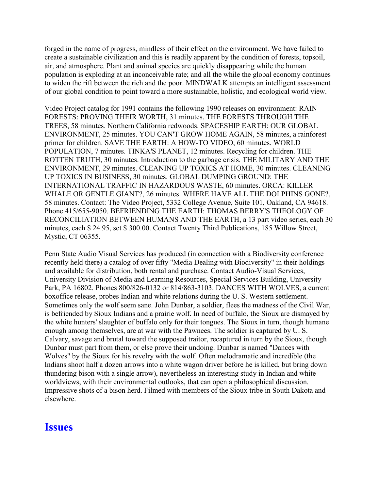forged in the name of progress, mindless of their effect on the environment. We have failed to create a sustainable civilization and this is readily apparent by the condition of forests, topsoil, air, and atmosphere. Plant and animal species are quickly disappearing while the human population is exploding at an inconceivable rate; and all the while the global economy continues to widen the rift between the rich and the poor. MINDWALK attempts an intelligent assessment of our global condition to point toward a more sustainable, holistic, and ecological world view.

Video Project catalog for 1991 contains the following 1990 releases on environment: RAIN FORESTS: PROVING THEIR WORTH, 31 minutes. THE FORESTS THROUGH THE TREES, 58 minutes. Northern California redwoods. SPACESHIP EARTH: OUR GLOBAL ENVIRONMENT, 25 minutes. YOU CAN'T GROW HOME AGAIN, 58 minutes, a rainforest primer for children. SAVE THE EARTH: A HOW-TO VIDEO, 60 minutes. WORLD POPULATION, 7 minutes. TINKA'S PLANET, 12 minutes. Recycling for children. THE ROTTEN TRUTH, 30 minutes. Introduction to the garbage crisis. THE MILITARY AND THE ENVIRONMENT, 29 minutes. CLEANING UP TOXICS AT HOME, 30 minutes. CLEANING UP TOXICS IN BUSINESS, 30 minutes. GLOBAL DUMPING GROUND: THE INTERNATIONAL TRAFFIC IN HAZARDOUS WASTE, 60 minutes. ORCA: KILLER WHALE OR GENTLE GIANT?, 26 minutes. WHERE HAVE ALL THE DOLPHINS GONE?, 58 minutes. Contact: The Video Project, 5332 College Avenue, Suite 101, Oakland, CA 94618. Phone 415/655-9050. BEFRIENDING THE EARTH: THOMAS BERRY'S THEOLOGY OF RECONCILIATION BETWEEN HUMANS AND THE EARTH, a 13 part video series, each 30 minutes, each \$ 24.95, set \$ 300.00. Contact Twenty Third Publications, 185 Willow Street, Mystic, CT 06355.

Penn State Audio Visual Services has produced (in connection with a Biodiversity conference recently held there) a catalog of over fifty "Media Dealing with Biodiversity" in their holdings and available for distribution, both rental and purchase. Contact Audio-Visual Services, University Division of Media and Learning Resources, Special Services Building, University Park, PA 16802. Phones 800/826-0132 or 814/863-3103. DANCES WITH WOLVES, a current boxoffice release, probes Indian and white relations during the U. S. Western settlement. Sometimes only the wolf seem sane. John Dunbar, a soldier, flees the madness of the Civil War, is befriended by Sioux Indians and a prairie wolf. In need of buffalo, the Sioux are dismayed by the white hunters' slaughter of buffalo only for their tongues. The Sioux in turn, though humane enough among themselves, are at war with the Pawnees. The soldier is captured by U. S. Calvary, savage and brutal toward the supposed traitor, recaptured in turn by the Sioux, though Dunbar must part from them, or else prove their undoing. Dunbar is named "Dances with Wolves" by the Sioux for his revelry with the wolf. Often melodramatic and incredible (the Indians shoot half a dozen arrows into a white wagon driver before he is killed, but bring down thundering bison with a single arrow), nevertheless an interesting study in Indian and white worldviews, with their environmental outlooks, that can open a philosophical discussion. Impressive shots of a bison herd. Filmed with members of the Sioux tribe in South Dakota and elsewhere.

#### **Issues**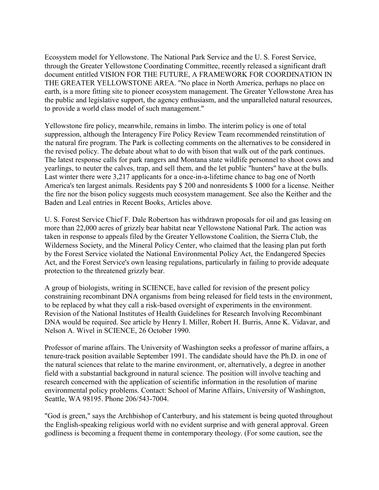Ecosystem model for Yellowstone. The National Park Service and the U. S. Forest Service, through the Greater Yellowstone Coordinating Committee, recently released a significant draft document entitled VISION FOR THE FUTURE, A FRAMEWORK FOR COORDINATION IN THE GREATER YELLOWSTONE AREA. "No place in North America, perhaps no place on earth, is a more fitting site to pioneer ecosystem management. The Greater Yellowstone Area has the public and legislative support, the agency enthusiasm, and the unparalleled natural resources, to provide a world class model of such management."

Yellowstone fire policy, meanwhile, remains in limbo. The interim policy is one of total suppression, although the Interagency Fire Policy Review Team recommended reinstitution of the natural fire program. The Park is collecting comments on the alternatives to be considered in the revised policy. The debate about what to do with bison that walk out of the park continues. The latest response calls for park rangers and Montana state wildlife personnel to shoot cows and yearlings, to neuter the calves, trap, and sell them, and the let public "hunters" have at the bulls. Last winter there were 3,217 applicants for a once-in-a-lifetime chance to bag one of North America's ten largest animals. Residents pay \$ 200 and nonresidents \$ 1000 for a license. Neither the fire nor the bison policy suggests much ecosystem management. See also the Keither and the Baden and Leal entries in Recent Books, Articles above.

U. S. Forest Service Chief F. Dale Robertson has withdrawn proposals for oil and gas leasing on more than 22,000 acres of grizzly bear habitat near Yellowstone National Park. The action was taken in response to appeals filed by the Greater Yellowstone Coalition, the Sierra Club, the Wilderness Society, and the Mineral Policy Center, who claimed that the leasing plan put forth by the Forest Service violated the National Environmental Policy Act, the Endangered Species Act, and the Forest Service's own leasing regulations, particularly in failing to provide adequate protection to the threatened grizzly bear.

A group of biologists, writing in SCIENCE, have called for revision of the present policy constraining recombinant DNA organisms from being released for field tests in the environment, to be replaced by what they call a risk-based oversight of experiments in the environment. Revision of the National Institutes of Health Guidelines for Research Involving Recombinant DNA would be required. See article by Henry I. Miller, Robert H. Burris, Anne K. Vidavar, and Nelson A. Wivel in SCIENCE, 26 October 1990.

Professor of marine affairs. The University of Washington seeks a professor of marine affairs, a tenure-track position available September 1991. The candidate should have the Ph.D. in one of the natural sciences that relate to the marine environment, or, alternatively, a degree in another field with a substantial background in natural science. The position will involve teaching and research concerned with the application of scientific information in the resolution of marine environmental policy problems. Contact: School of Marine Affairs, University of Washington, Seattle, WA 98195. Phone 206/543-7004.

"God is green," says the Archbishop of Canterbury, and his statement is being quoted throughout the English-speaking religious world with no evident surprise and with general approval. Green godliness is becoming a frequent theme in contemporary theology. (For some caution, see the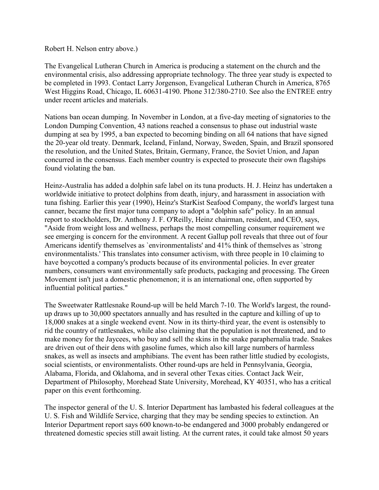#### Robert H. Nelson entry above.)

The Evangelical Lutheran Church in America is producing a statement on the church and the environmental crisis, also addressing appropriate technology. The three year study is expected to be completed in 1993. Contact Larry Jorgenson, Evangelical Lutheran Church in America, 8765 West Higgins Road, Chicago, IL 60631-4190. Phone 312/380-2710. See also the ENTREE entry under recent articles and materials.

Nations ban ocean dumping. In November in London, at a five-day meeting of signatories to the London Dumping Convention, 43 nations reached a consensus to phase out industrial waste dumping at sea by 1995, a ban expected to becoming binding on all 64 nations that have signed the 20-year old treaty. Denmark, Iceland, Finland, Norway, Sweden, Spain, and Brazil sponsored the resolution, and the United States, Britain, Germany, France, the Soviet Union, and Japan concurred in the consensus. Each member country is expected to prosecute their own flagships found violating the ban.

Heinz-Australia has added a dolphin safe label on its tuna products. H. J. Heinz has undertaken a worldwide initiative to protect dolphins from death, injury, and harassment in association with tuna fishing. Earlier this year (1990), Heinz's StarKist Seafood Company, the world's largest tuna canner, became the first major tuna company to adopt a "dolphin safe" policy. In an annual report to stockholders, Dr. Anthony J. F. O'Reilly, Heinz chairman, resident, and CEO, says, "Aside from weight loss and wellness, perhaps the most compelling consumer requirement we see emerging is concern for the environment. A recent Gallup poll reveals that three out of four Americans identify themselves as `environmentalists' and 41% think of themselves as `strong environmentalists.' This translates into consumer activism, with three people in 10 claiming to have boycotted a company's products because of its environmental policies. In ever greater numbers, consumers want environmentally safe products, packaging and processing. The Green Movement isn't just a domestic phenomenon; it is an international one, often supported by influential political parties."

The Sweetwater Rattlesnake Round-up will be held March 7-10. The World's largest, the roundup draws up to 30,000 spectators annually and has resulted in the capture and killing of up to 18,000 snakes at a single weekend event. Now in its thirty-third year, the event is ostensibly to rid the country of rattlesnakes, while also claiming that the population is not threatened, and to make money for the Jaycees, who buy and sell the skins in the snake paraphernalia trade. Snakes are driven out of their dens with gasoline fumes, which also kill large numbers of harmless snakes, as well as insects and amphibians. The event has been rather little studied by ecologists, social scientists, or environmentalists. Other round-ups are held in Pennsylvania, Georgia, Alabama, Florida, and Oklahoma, and in several other Texas cities. Contact Jack Weir, Department of Philosophy, Morehead State University, Morehead, KY 40351, who has a critical paper on this event forthcoming.

The inspector general of the U. S. Interior Department has lambasted his federal colleagues at the U. S. Fish and Wildlife Service, charging that they may be sending species to extinction. An Interior Department report says 600 known-to-be endangered and 3000 probably endangered or threatened domestic species still await listing. At the current rates, it could take almost 50 years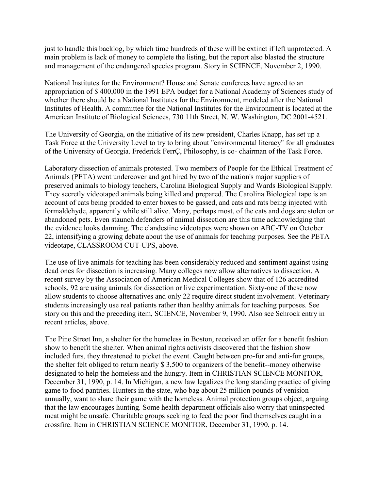just to handle this backlog, by which time hundreds of these will be extinct if left unprotected. A main problem is lack of money to complete the listing, but the report also blasted the structure and management of the endangered species program. Story in SCIENCE, November 2, 1990.

National Institutes for the Environment? House and Senate conferees have agreed to an appropriation of \$ 400,000 in the 1991 EPA budget for a National Academy of Sciences study of whether there should be a National Institutes for the Environment, modeled after the National Institutes of Health. A committee for the National Institutes for the Environment is located at the American Institute of Biological Sciences, 730 11th Street, N. W. Washington, DC 2001-4521.

The University of Georgia, on the initiative of its new president, Charles Knapp, has set up a Task Force at the University Level to try to bring about "environmental literacy" for all graduates of the University of Georgia. Frederick FerrÇ, Philosophy, is co- chairman of the Task Force.

Laboratory dissection of animals protested. Two members of People for the Ethical Treatment of Animals (PETA) went undercover and got hired by two of the nation's major suppliers of preserved animals to biology teachers, Carolina Biological Supply and Wards Biological Supply. They secretly videotaped animals being killed and prepared. The Carolina Biological tape is an account of cats being prodded to enter boxes to be gassed, and cats and rats being injected with formaldehyde, apparently while still alive. Many, perhaps most, of the cats and dogs are stolen or abandoned pets. Even staunch defenders of animal dissection are this time acknowledging that the evidence looks damning. The clandestine videotapes were shown on ABC-TV on October 22, intensifying a growing debate about the use of animals for teaching purposes. See the PETA videotape, CLASSROOM CUT-UPS, above.

The use of live animals for teaching has been considerably reduced and sentiment against using dead ones for dissection is increasing. Many colleges now allow alternatives to dissection. A recent survey by the Association of American Medical Colleges show that of 126 accredited schools, 92 are using animals for dissection or live experimentation. Sixty-one of these now allow students to choose alternatives and only 22 require direct student involvement. Veterinary students increasingly use real patients rather than healthy animals for teaching purposes. See story on this and the preceding item, SCIENCE, November 9, 1990. Also see Schrock entry in recent articles, above.

The Pine Street Inn, a shelter for the homeless in Boston, received an offer for a benefit fashion show to benefit the shelter. When animal rights activists discovered that the fashion show included furs, they threatened to picket the event. Caught between pro-fur and anti-fur groups, the shelter felt obliged to return nearly \$ 3,500 to organizers of the benefit--money otherwise designated to help the homeless and the hungry. Item in CHRISTIAN SCIENCE MONITOR, December 31, 1990, p. 14. In Michigan, a new law legalizes the long standing practice of giving game to food pantries. Hunters in the state, who bag about 25 million pounds of venision annually, want to share their game with the homeless. Animal protection groups object, arguing that the law encourages hunting. Some health department officials also worry that uninspected meat might be unsafe. Charitable groups seeking to feed the poor find themselves caught in a crossfire. Item in CHRISTIAN SCIENCE MONITOR, December 31, 1990, p. 14.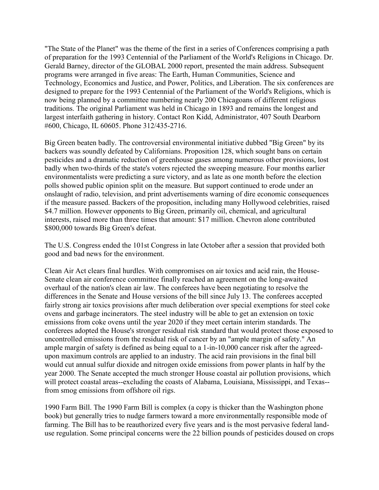"The State of the Planet" was the theme of the first in a series of Conferences comprising a path of preparation for the 1993 Centennial of the Parliament of the World's Religions in Chicago. Dr. Gerald Barney, director of the GLOBAL 2000 report, presented the main address. Subsequent programs were arranged in five areas: The Earth, Human Communities, Science and Technology, Economics and Justice, and Power, Politics, and Liberation. The six conferences are designed to prepare for the 1993 Centennial of the Parliament of the World's Religions, which is now being planned by a committee numbering nearly 200 Chicagoans of different religious traditions. The original Parliament was held in Chicago in 1893 and remains the longest and largest interfaith gathering in history. Contact Ron Kidd, Administrator, 407 South Dearborn #600, Chicago, IL 60605. Phone 312/435-2716.

Big Green beaten badly. The controversial environmental initiative dubbed "Big Green" by its backers was soundly defeated by Californians. Proposition 128, which sought bans on certain pesticides and a dramatic reduction of greenhouse gases among numerous other provisions, lost badly when two-thirds of the state's voters rejected the sweeping measure. Four months earlier environmentalists were predicting a sure victory, and as late as one month before the election polls showed public opinion split on the measure. But support continued to erode under an onslaught of radio, television, and print advertisements warning of dire economic consequences if the measure passed. Backers of the proposition, including many Hollywood celebrities, raised \$4.7 million. However opponents to Big Green, primarily oil, chemical, and agricultural interests, raised more than three times that amount: \$17 million. Chevron alone contributed \$800,000 towards Big Green's defeat.

The U.S. Congress ended the 101st Congress in late October after a session that provided both good and bad news for the environment.

Clean Air Act clears final hurdles. With compromises on air toxics and acid rain, the House-Senate clean air conference committee finally reached an agreement on the long-awaited overhaul of the nation's clean air law. The conferees have been negotiating to resolve the differences in the Senate and House versions of the bill since July 13. The conferees accepted fairly strong air toxics provisions after much deliberation over special exemptions for steel coke ovens and garbage incinerators. The steel industry will be able to get an extension on toxic emissions from coke ovens until the year 2020 if they meet certain interim standards. The conferees adopted the House's stronger residual risk standard that would protect those exposed to uncontrolled emissions from the residual risk of cancer by an "ample margin of safety." An ample margin of safety is defined as being equal to a 1-in-10,000 cancer risk after the agreedupon maximum controls are applied to an industry. The acid rain provisions in the final bill would cut annual sulfur dioxide and nitrogen oxide emissions from power plants in half by the year 2000. The Senate accepted the much stronger House coastal air pollution provisions, which will protect coastal areas--excluding the coasts of Alabama, Louisiana, Mississippi, and Texas-from smog emissions from offshore oil rigs.

1990 Farm Bill. The 1990 Farm Bill is complex (a copy is thicker than the Washington phone book) but generally tries to nudge farmers toward a more environmentally responsible mode of farming. The Bill has to be reauthorized every five years and is the most pervasive federal landuse regulation. Some principal concerns were the 22 billion pounds of pesticides doused on crops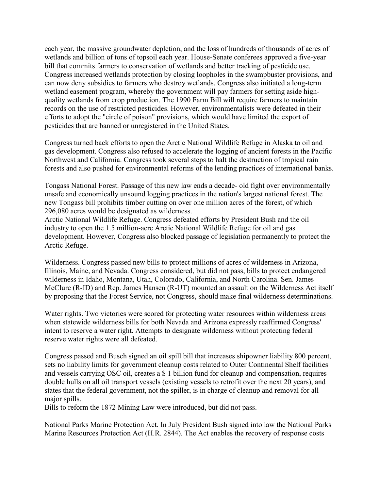each year, the massive groundwater depletion, and the loss of hundreds of thousands of acres of wetlands and billion of tons of topsoil each year. House-Senate conferees approved a five-year bill that commits farmers to conservation of wetlands and better tracking of pesticide use. Congress increased wetlands protection by closing loopholes in the swampbuster provisions, and can now deny subsidies to farmers who destroy wetlands. Congress also initiated a long-term wetland easement program, whereby the government will pay farmers for setting aside highquality wetlands from crop production. The 1990 Farm Bill will require farmers to maintain records on the use of restricted pesticides. However, environmentalists were defeated in their efforts to adopt the "circle of poison" provisions, which would have limited the export of pesticides that are banned or unregistered in the United States.

Congress turned back efforts to open the Arctic National Wildlife Refuge in Alaska to oil and gas development. Congress also refused to accelerate the logging of ancient forests in the Pacific Northwest and California. Congress took several steps to halt the destruction of tropical rain forests and also pushed for environmental reforms of the lending practices of international banks.

Tongass National Forest. Passage of this new law ends a decade- old fight over environmentally unsafe and economically unsound logging practices in the nation's largest national forest. The new Tongass bill prohibits timber cutting on over one million acres of the forest, of which 296,080 acres would be designated as wilderness.

Arctic National Wildlife Refuge. Congress defeated efforts by President Bush and the oil industry to open the 1.5 million-acre Arctic National Wildlife Refuge for oil and gas development. However, Congress also blocked passage of legislation permanently to protect the Arctic Refuge.

Wilderness. Congress passed new bills to protect millions of acres of wilderness in Arizona, Illinois, Maine, and Nevada. Congress considered, but did not pass, bills to protect endangered wilderness in Idaho, Montana, Utah, Colorado, California, and North Carolina. Sen. James McClure (R-ID) and Rep. James Hansen (R-UT) mounted an assault on the Wilderness Act itself by proposing that the Forest Service, not Congress, should make final wilderness determinations.

Water rights. Two victories were scored for protecting water resources within wilderness areas when statewide wilderness bills for both Nevada and Arizona expressly reaffirmed Congress' intent to reserve a water right. Attempts to designate wilderness without protecting federal reserve water rights were all defeated.

Congress passed and Busch signed an oil spill bill that increases shipowner liability 800 percent, sets no liability limits for government cleanup costs related to Outer Continental Shelf facilities and vessels carrying OSC oil, creates a \$ 1 billion fund for cleanup and compensation, requires double hulls on all oil transport vessels (existing vessels to retrofit over the next 20 years), and states that the federal government, not the spiller, is in charge of cleanup and removal for all major spills.

Bills to reform the 1872 Mining Law were introduced, but did not pass.

National Parks Marine Protection Act. In July President Bush signed into law the National Parks Marine Resources Protection Act (H.R. 2844). The Act enables the recovery of response costs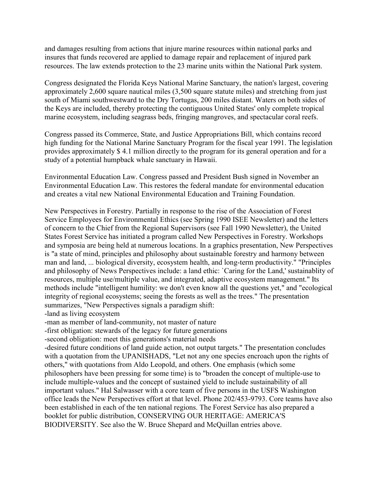and damages resulting from actions that injure marine resources within national parks and insures that funds recovered are applied to damage repair and replacement of injured park resources. The law extends protection to the 23 marine units within the National Park system.

Congress designated the Florida Keys National Marine Sanctuary, the nation's largest, covering approximately 2,600 square nautical miles (3,500 square statute miles) and stretching from just south of Miami southwestward to the Dry Tortugas, 200 miles distant. Waters on both sides of the Keys are included, thereby protecting the contiguous United States' only complete tropical marine ecosystem, including seagrass beds, fringing mangroves, and spectacular coral reefs.

Congress passed its Commerce, State, and Justice Appropriations Bill, which contains record high funding for the National Marine Sanctuary Program for the fiscal year 1991. The legislation provides approximately \$ 4.1 million directly to the program for its general operation and for a study of a potential humpback whale sanctuary in Hawaii.

Environmental Education Law. Congress passed and President Bush signed in November an Environmental Education Law. This restores the federal mandate for environmental education and creates a vital new National Environmental Education and Training Foundation.

New Perspectives in Forestry. Partially in response to the rise of the Association of Forest Service Employees for Environmental Ethics (see Spring 1990 ISEE Newsletter) and the letters of concern to the Chief from the Regional Supervisors (see Fall 1990 Newsletter), the United States Forest Service has initiated a program called New Perspectives in Forestry. Workshops and symposia are being held at numerous locations. In a graphics presentation, New Perspectives is "a state of mind, principles and philosophy about sustainable forestry and harmony between man and land, ... biological diversity, ecosystem health, and long-term productivity." "Principles and philosophy of News Perspectives include: a land ethic: `Caring for the Land,' sustainablity of resources, multiple use/multiple value, and integrated, adaptive ecosystem management." Its methods include "intelligent humility: we don't even know all the questions yet," and "ecological integrity of regional ecosystems; seeing the forests as well as the trees." The presentation summarizes, "New Perspectives signals a paradigm shift:

-land as living ecosystem

-man as member of land-community, not master of nature

-first obligation: stewards of the legacy for future generations

-second obligation: meet this generations's material needs

-desired future conditions of land guide action, not output targets." The presentation concludes with a quotation from the UPANISHADS, "Let not any one species encroach upon the rights of others," with quotations from Aldo Leopold, and others. One emphasis (which some philosophers have been pressing for some time) is to "broaden the concept of multiple-use to include multiple-values and the concept of sustained yield to include sustainability of all important values." Hal Salwasser with a core team of five persons in the USFS Washington office leads the New Perspectives effort at that level. Phone 202/453-9793. Core teams have also been established in each of the ten national regions. The Forest Service has also prepared a booklet for public distribution, CONSERVING OUR HERITAGE: AMERICA'S BIODIVERSITY. See also the W. Bruce Shepard and McQuillan entries above.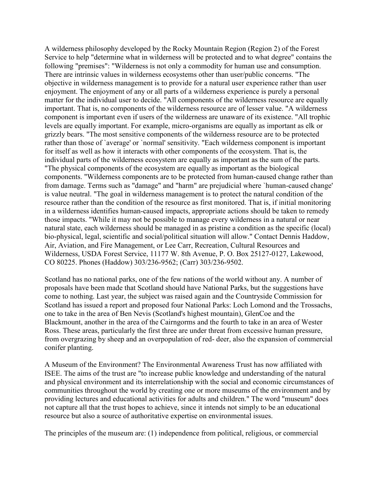A wilderness philosophy developed by the Rocky Mountain Region (Region 2) of the Forest Service to help "determine what in wilderness will be protected and to what degree" contains the following "premises": "Wilderness is not only a commodity for human use and consumption. There are intrinsic values in wilderness ecosystems other than user/public concerns. "The objective in wilderness management is to provide for a natural user experience rather than user enjoyment. The enjoyment of any or all parts of a wilderness experience is purely a personal matter for the individual user to decide. "All components of the wilderness resource are equally important. That is, no components of the wilderness resource are of lesser value. "A wilderness component is important even if users of the wilderness are unaware of its existence. "All trophic levels are equally important. For example, micro-organisms are equally as important as elk or grizzly bears. "The most sensitive components of the wilderness resource are to be protected rather than those of `average' or `normal' sensitivity. "Each wilderness component is important for itself as well as how it interacts with other components of the ecosystem. That is, the individual parts of the wilderness ecosystem are equally as important as the sum of the parts. "The physical components of the ecosystem are equally as important as the biological components. "Wilderness components are to be protected from human-caused change rather than from damage. Terms such as "damage" and "harm" are prejudicial where `human-caused change' is value neutral. "The goal in wilderness management is to protect the natural condition of the resource rather than the condition of the resource as first monitored. That is, if initial monitoring in a wilderness identifies human-caused impacts, appropriate actions should be taken to remedy those impacts. "While it may not be possible to manage every wilderness in a natural or near natural state, each wilderness should be managed in as pristine a condition as the specific (local) bio-physical, legal, scientific and social/political situation will allow." Contact Dennis Haddow, Air, Aviation, and Fire Management, or Lee Carr, Recreation, Cultural Resources and Wilderness, USDA Forest Service, 11177 W. 8th Avenue, P. O. Box 25127-0127, Lakewood, CO 80225. Phones (Haddow) 303/236-9562; (Carr) 303/236-9502.

Scotland has no national parks, one of the few nations of the world without any. A number of proposals have been made that Scotland should have National Parks, but the suggestions have come to nothing. Last year, the subject was raised again and the Countryside Commission for Scotland has issued a report and proposed four National Parks: Loch Lomond and the Trossachs, one to take in the area of Ben Nevis (Scotland's highest mountain), GlenCoe and the Blackmount, another in the area of the Cairngorms and the fourth to take in an area of Wester Ross. These areas, particularly the first three are under threat from excessive human pressure, from overgrazing by sheep and an overpopulation of red- deer, also the expansion of commercial conifer planting.

A Museum of the Environment? The Environmental Awareness Trust has now affiliated with ISEE. The aims of the trust are "to increase public knowledge and understanding of the natural and physical environment and its interrelationship with the social and economic circumstances of communities throughout the world by creating one or more museums of the environment and by providing lectures and educational activities for adults and children." The word "museum" does not capture all that the trust hopes to achieve, since it intends not simply to be an educational resource but also a source of authoritative expertise on environmental issues.

The principles of the museum are: (1) independence from political, religious, or commercial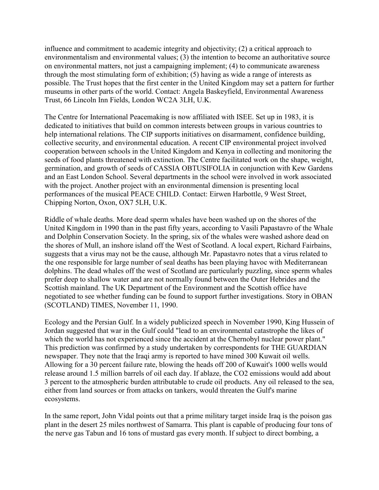influence and commitment to academic integrity and objectivity; (2) a critical approach to environmentalism and environmental values; (3) the intention to become an authoritative source on environmental matters, not just a campaigning implement; (4) to communicate awareness through the most stimulating form of exhibition; (5) having as wide a range of interests as possible. The Trust hopes that the first center in the United Kingdom may set a pattern for further museums in other parts of the world. Contact: Angela Baskeyfield, Environmental Awareness Trust, 66 Lincoln Inn Fields, London WC2A 3LH, U.K.

The Centre for International Peacemaking is now affiliated with ISEE. Set up in 1983, it is dedicated to initiatives that build on common interests between groups in various countries to help international relations. The CIP supports initiatives on disarmament, confidence building, collective security, and environmental education. A recent CIP environmental project involved cooperation between schools in the United Kingdom and Kenya in collecting and monitoring the seeds of food plants threatened with extinction. The Centre facilitated work on the shape, weight, germination, and growth of seeds of CASSIA OBTUSIFOLIA in conjunction with Kew Gardens and an East London School. Several departments in the school were involved in work associated with the project. Another project with an environmental dimension is presenting local performances of the musical PEACE CHILD. Contact: Eirwen Harbottle, 9 West Street, Chipping Norton, Oxon, OX7 5LH, U.K.

Riddle of whale deaths. More dead sperm whales have been washed up on the shores of the United Kingdom in 1990 than in the past fifty years, according to Vasili Papastavro of the Whale and Dolphin Conservation Society. In the spring, six of the whales were washed ashore dead on the shores of Mull, an inshore island off the West of Scotland. A local expert, Richard Fairbains, suggests that a virus may not be the cause, although Mr. Papastavro notes that a virus related to the one responsible for large number of seal deaths has been playing havoc with Mediterranean dolphins. The dead whales off the west of Scotland are particularly puzzling, since sperm whales prefer deep to shallow water and are not normally found between the Outer Hebrides and the Scottish mainland. The UK Department of the Environment and the Scottish office have negotiated to see whether funding can be found to support further investigations. Story in OBAN (SCOTLAND) TIMES, November 11, 1990.

Ecology and the Persian Gulf. In a widely publicized speech in November 1990, King Hussein of Jordan suggested that war in the Gulf could "lead to an environmental catastrophe the likes of which the world has not experienced since the accident at the Chernobyl nuclear power plant." This prediction was confirmed by a study undertaken by correspondents for THE GUARDIAN newspaper. They note that the Iraqi army is reported to have mined 300 Kuwait oil wells. Allowing for a 30 percent failure rate, blowing the heads off 200 of Kuwait's 1000 wells would release around 1.5 million barrels of oil each day. If ablaze, the CO2 emissions would add about 3 percent to the atmospheric burden attributable to crude oil products. Any oil released to the sea, either from land sources or from attacks on tankers, would threaten the Gulf's marine ecosystems.

In the same report, John Vidal points out that a prime military target inside Iraq is the poison gas plant in the desert 25 miles northwest of Samarra. This plant is capable of producing four tons of the nerve gas Tabun and 16 tons of mustard gas every month. If subject to direct bombing, a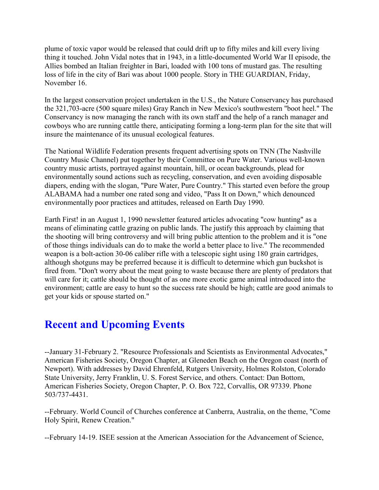plume of toxic vapor would be released that could drift up to fifty miles and kill every living thing it touched. John Vidal notes that in 1943, in a little-documented World War II episode, the Allies bombed an Italian freighter in Bari, loaded with 100 tons of mustard gas. The resulting loss of life in the city of Bari was about 1000 people. Story in THE GUARDIAN, Friday, November 16.

In the largest conservation project undertaken in the U.S., the Nature Conservancy has purchased the 321,703-acre (500 square miles) Gray Ranch in New Mexico's southwestern "boot heel." The Conservancy is now managing the ranch with its own staff and the help of a ranch manager and cowboys who are running cattle there, anticipating forming a long-term plan for the site that will insure the maintenance of its unusual ecological features.

The National Wildlife Federation presents frequent advertising spots on TNN (The Nashville Country Music Channel) put together by their Committee on Pure Water. Various well-known country music artists, portrayed against mountain, hill, or ocean backgrounds, plead for environmentally sound actions such as recycling, conservation, and even avoiding disposable diapers, ending with the slogan, "Pure Water, Pure Country." This started even before the group ALABAMA had a number one rated song and video, "Pass It on Down," which denounced environmentally poor practices and attitudes, released on Earth Day 1990.

Earth First! in an August 1, 1990 newsletter featured articles advocating "cow hunting" as a means of eliminating cattle grazing on public lands. The justify this approach by claiming that the shooting will bring controversy and will bring public attention to the problem and it is "one of those things individuals can do to make the world a better place to live." The recommended weapon is a bolt-action 30-06 caliber rifle with a telescopic sight using 180 grain cartridges, although shotguns may be preferred because it is difficult to determine which gun buckshot is fired from. "Don't worry about the meat going to waste because there are plenty of predators that will care for it; cattle should be thought of as one more exotic game animal introduced into the environment; cattle are easy to hunt so the success rate should be high; cattle are good animals to get your kids or spouse started on."

## **Recent and Upcoming Events**

--January 31-February 2. "Resource Professionals and Scientists as Environmental Advocates," American Fisheries Society, Oregon Chapter, at Gleneden Beach on the Oregon coast (north of Newport). With addresses by David Ehrenfeld, Rutgers University, Holmes Rolston, Colorado State University, Jerry Franklin, U. S. Forest Service, and others. Contact: Dan Bottom, American Fisheries Society, Oregon Chapter, P. O. Box 722, Corvallis, OR 97339. Phone 503/737-4431.

--February. World Council of Churches conference at Canberra, Australia, on the theme, "Come Holy Spirit, Renew Creation."

--February 14-19. ISEE session at the American Association for the Advancement of Science,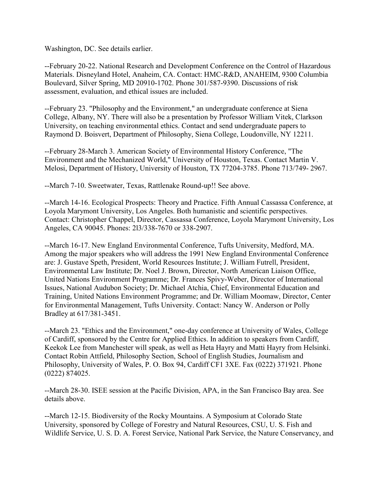Washington, DC. See details earlier.

--February 20-22. National Research and Development Conference on the Control of Hazardous Materials. Disneyland Hotel, Anaheim, CA. Contact: HMC-R&D, ANAHEIM, 9300 Columbia Boulevard, Silver Spring, MD 20910-1702. Phone 301/587-9390. Discussions of risk assessment, evaluation, and ethical issues are included.

--February 23. "Philosophy and the Environment," an undergraduate conference at Siena College, Albany, NY. There will also be a presentation by Professor William Vitek, Clarkson University, on teaching environmental ethics. Contact and send undergraduate papers to Raymond D. Boisvert, Department of Philosophy, Siena College, Loudonville, NY 12211.

--February 28-March 3. American Society of Environmental History Conference, "The Environment and the Mechanized World," University of Houston, Texas. Contact Martin V. Melosi, Department of History, University of Houston, TX 77204-3785. Phone 713/749- 2967.

--March 7-10. Sweetwater, Texas, Rattlenake Round-up!! See above.

--March 14-16. Ecological Prospects: Theory and Practice. Fifth Annual Cassassa Conference, at Loyola Marymont University, Los Angeles. Both humanistic and scientific perspectives. Contact: Christopher Chappel, Director, Cassassa Conference, Loyola Marymont University, Los Angeles, CA 90045. Phones: 2l3/338-7670 or 338-2907.

--March 16-17. New England Environmental Conference, Tufts University, Medford, MA. Among the major speakers who will address the 1991 New England Environmental Conference are: J. Gustave Speth, President, World Resources Institute; J. William Futrell, President, Environmental Law Institute; Dr. Noel J. Brown, Director, North American Liaison Office, United Nations Environment Programme; Dr. Frances Spivy-Weber, Director of International Issues, National Audubon Society; Dr. Michael Atchia, Chief, Environmental Education and Training, United Nations Environment Programme; and Dr. William Moomaw, Director, Center for Environmental Management, Tufts University. Contact: Nancy W. Anderson or Polly Bradley at 617/381-3451.

--March 23. "Ethics and the Environment," one-day conference at University of Wales, College of Cardiff, sponsored by the Centre for Applied Ethics. In addition to speakers from Cardiff, Keekok Lee from Manchester will speak, as well as Heta Hayry and Matti Hayry from Helsinki. Contact Robin Attfield, Philosophy Section, School of English Studies, Journalism and Philosophy, University of Wales, P. O. Box 94, Cardiff CF1 3XE. Fax (0222) 371921. Phone (0222) 874025.

--March 28-30. ISEE session at the Pacific Division, APA, in the San Francisco Bay area. See details above.

--March 12-15. Biodiversity of the Rocky Mountains. A Symposium at Colorado State University, sponsored by College of Forestry and Natural Resources, CSU, U. S. Fish and Wildlife Service, U. S. D. A. Forest Service, National Park Service, the Nature Conservancy, and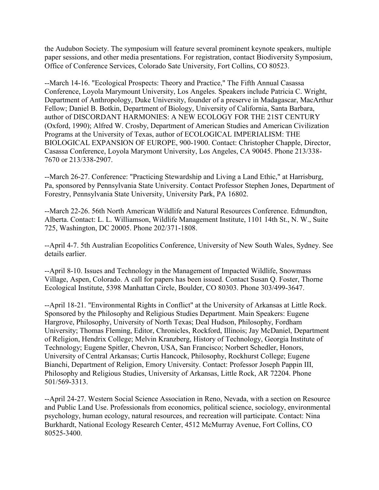the Audubon Society. The symposium will feature several prominent keynote speakers, multiple paper sessions, and other media presentations. For registration, contact Biodiversity Symposium, Office of Conference Services, Colorado Sate University, Fort Collins, CO 80523.

--March 14-16. "Ecological Prospects: Theory and Practice," The Fifth Annual Casassa Conference, Loyola Marymount University, Los Angeles. Speakers include Patricia C. Wright, Department of Anthropology, Duke University, founder of a preserve in Madagascar, MacArthur Fellow; Daniel B. Botkin, Department of Biology, University of California, Santa Barbara, author of DISCORDANT HARMONIES: A NEW ECOLOGY FOR THE 21ST CENTURY (Oxford, 1990); Alfred W. Crosby, Department of American Studies and American Civilization Programs at the University of Texas, author of ECOLOGICAL IMPERIALISM: THE BIOLOGICAL EXPANSION OF EUROPE, 900-1900. Contact: Christopher Chapple, Director, Casassa Conference, Loyola Marymont University, Los Angeles, CA 90045. Phone 213/338- 7670 or 213/338-2907.

--March 26-27. Conference: "Practicing Stewardship and Living a Land Ethic," at Harrisburg, Pa, sponsored by Pennsylvania State University. Contact Professor Stephen Jones, Department of Forestry, Pennsylvania State University, University Park, PA 16802.

--March 22-26. 56th North American Wildlife and Natural Resources Conference. Edmundton, Alberta. Contact: L. L. Williamson, Wildlife Management Institute, 1101 14th St., N. W., Suite 725, Washington, DC 20005. Phone 202/371-1808.

--April 4-7. 5th Australian Ecopolitics Conference, University of New South Wales, Sydney. See details earlier.

--April 8-10. Issues and Technology in the Management of Impacted Wildlife, Snowmass Village, Aspen, Colorado. A call for papers has been issued. Contact Susan Q. Foster, Thorne Ecological Institute, 5398 Manhattan Circle, Boulder, CO 80303. Phone 303/499-3647.

--April 18-21. "Environmental Rights in Conflict" at the University of Arkansas at Little Rock. Sponsored by the Philosophy and Religious Studies Department. Main Speakers: Eugene Hargrove, Philosophy, University of North Texas; Deal Hudson, Philosophy, Fordham University; Thomas Fleming, Editor, Chronicles, Rockford, Illinois; Jay McDaniel, Department of Religion, Hendrix College; Melvin Kranzberg, History of Technology, Georgia Institute of Technology; Eugene Spitler, Chevron, USA, San Francisco; Norbert Schedler, Honors, University of Central Arkansas; Curtis Hancock, Philosophy, Rockhurst College; Eugene Bianchi, Department of Religion, Emory University. Contact: Professor Joseph Pappin III, Philosophy and Religious Studies, University of Arkansas, Little Rock, AR 72204. Phone 501/569-3313.

--April 24-27. Western Social Science Association in Reno, Nevada, with a section on Resource and Public Land Use. Professionals from economics, political science, sociology, environmental psychology, human ecology, natural resources, and recreation will participate. Contact: Nina Burkhardt, National Ecology Research Center, 4512 McMurray Avenue, Fort Collins, CO 80525-3400.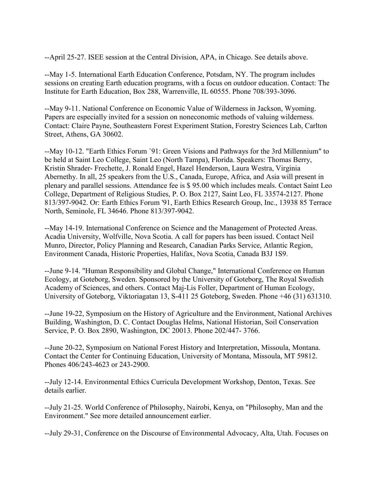--April 25-27. ISEE session at the Central Division, APA, in Chicago. See details above.

--May 1-5. International Earth Education Conference, Potsdam, NY. The program includes sessions on creating Earth education programs, with a focus on outdoor education. Contact: The Institute for Earth Education, Box 288, Warrenville, IL 60555. Phone 708/393-3096.

--May 9-11. National Conference on Economic Value of Wilderness in Jackson, Wyoming. Papers are especially invited for a session on noneconomic methods of valuing wilderness. Contact: Claire Payne, Southeastern Forest Experiment Station, Forestry Sciences Lab, Carlton Street, Athens, GA 30602.

--May 10-12. "Earth Ethics Forum `91: Green Visions and Pathways for the 3rd Millennium" to be held at Saint Leo College, Saint Leo (North Tampa), Florida. Speakers: Thomas Berry, Kristin Shrader- Frechette, J. Ronald Engel, Hazel Henderson, Laura Westra, Virginia Abernethy. In all, 25 speakers from the U.S., Canada, Europe, Africa, and Asia will present in plenary and parallel sessions. Attendance fee is \$ 95.00 which includes meals. Contact Saint Leo College, Department of Religious Studies, P. O. Box 2127, Saint Leo, FL 33574-2127. Phone 813/397-9042. Or: Earth Ethics Forum '91, Earth Ethics Research Group, Inc., 13938 85 Terrace North, Seminole, FL 34646. Phone 813/397-9042.

--May 14-19. International Conference on Science and the Management of Protected Areas. Acadia University, Wolfville, Nova Scotia. A call for papers has been issued. Contact Neil Munro, Director, Policy Planning and Research, Canadian Parks Service, Atlantic Region, Environment Canada, Historic Properties, Halifax, Nova Scotia, Canada B3J 1S9.

--June 9-14. "Human Responsibility and Global Change," International Conference on Human Ecology, at Goteborg, Sweden. Sponsored by the University of Goteborg, The Royal Swedish Academy of Sciences, and others. Contact Maj-Lis Foller, Department of Human Ecology, University of Goteborg, Viktoriagatan 13, S-411 25 Goteborg, Sweden. Phone +46 (31) 631310.

--June 19-22, Symposium on the History of Agriculture and the Environment, National Archives Building, Washington, D. C. Contact Douglas Helms, National Historian, Soil Conservation Service, P. O. Box 2890, Washington, DC 20013. Phone 202/447- 3766.

--June 20-22, Symposium on National Forest History and Interpretation, Missoula, Montana. Contact the Center for Continuing Education, University of Montana, Missoula, MT 59812. Phones 406/243-4623 or 243-2900.

--July 12-14. Environmental Ethics Curricula Development Workshop, Denton, Texas. See details earlier.

--July 21-25. World Conference of Philosophy, Nairobi, Kenya, on "Philosophy, Man and the Environment." See more detailed announcement earlier.

--July 29-31, Conference on the Discourse of Environmental Advocacy, Alta, Utah. Focuses on